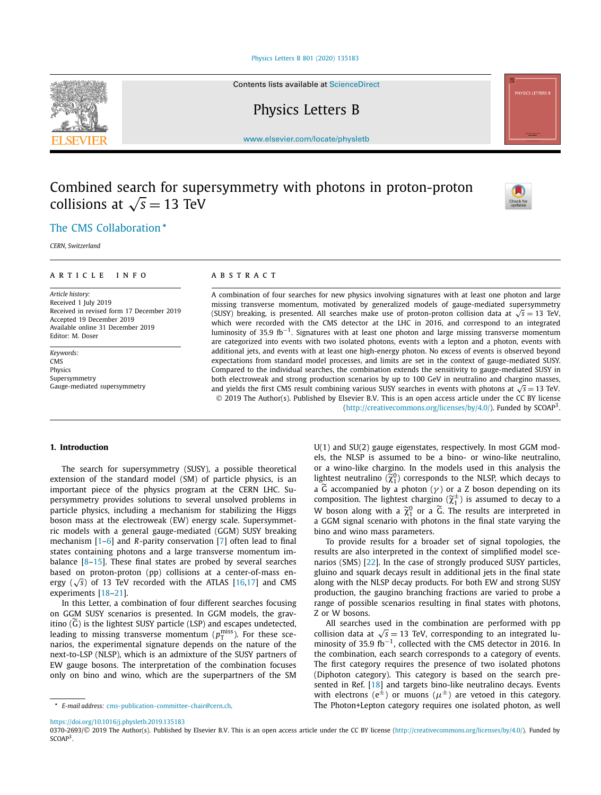#### [Physics Letters B 801 \(2020\) 135183](https://doi.org/10.1016/j.physletb.2019.135183)

Contents lists available at [ScienceDirect](http://www.ScienceDirect.com/)

Physics Letters B

[www.elsevier.com/locate/physletb](http://www.elsevier.com/locate/physletb)

# Combined search for supersymmetry with photons in proton-proton collisions at  $\sqrt{s} = 13$  TeV

## .The CMS [Collaboration](#page-10-0) *-*

*CERN, Switzerland*

#### A R T I C L E I N F O A B S T R A C T

*Article history:* Received 1 July 2019 Received in revised form 17 December 2019 Accepted 19 December 2019 Available online 31 December 2019 Editor: M. Doser

*Keywords:* CMS Physics Supersymmetry Gauge-mediated supersymmetry

A combination of four searches for new physics involving signatures with at least one photon and large missing transverse momentum, motivated by generalized models of gauge-mediated supersymmetry (SUSY) breaking, is presented. All searches make use of proton-proton collision data at  $\sqrt{s} = 13$  TeV, which were recorded with the CMS detector at the LHC in 2016, and correspond to an integrated luminosity of 35.9 fb<sup>-1</sup>. Signatures with at least one photon and large missing transverse momentum are categorized into events with two isolated photons, events with a lepton and a photon, events with additional jets, and events with at least one high-energy photon. No excess of events is observed beyond expectations from standard model processes, and limits are set in the context of gauge-mediated SUSY. Compared to the individual searches, the combination extends the sensitivity to gauge-mediated SUSY in both electroweak and strong production scenarios by up to 100 GeV in neutralino and chargino masses, and yields the first CMS result combining various SUSY searches in events with photons at <sup>√</sup>*<sup>s</sup>* <sup>=</sup> 13 TeV. © 2019 The Author(s). Published by Elsevier B.V. This is an open access article under the CC BY license [\(http://creativecommons.org/licenses/by/4.0/\)](http://creativecommons.org/licenses/by/4.0/). Funded by  $SCOAP<sup>3</sup>$ .

#### **1. Introduction**

The search for supersymmetry (SUSY), a possible theoretical extension of the standard model (SM) of particle physics, is an important piece of the physics program at the CERN LHC. Supersymmetry provides solutions to several unsolved problems in particle physics, including a mechanism for stabilizing the Higgs boson mass at the electroweak (EW) energy scale. Supersymmetric models with a general gauge-mediated (GGM) SUSY breaking mechanism [\[1–](#page-8-0)[6\]](#page-9-0) and *R*-parity conservation [\[7\]](#page-9-0) often lead to final states containing photons and a large transverse momentum imbalance [\[8–15\]](#page-9-0). These final states are probed by several searches based on proton-proton (pp) collisions at a center-of-mass energy ( $\sqrt{s}$ ) of 13 TeV recorded with the ATLAS [\[16,17\]](#page-9-0) and CMS experiments [\[18–21\]](#page-9-0).

In this Letter, a combination of four different searches focusing on GGM SUSY scenarios is presented. In GGM models, the gravitino (G) is the lightest SUSY particle (LSP) and escapes undetected, leading to missing transverse momentum ( $p_T^{\rm miss}$ ). For these scenarios, the experimental signature depends on the nature of the next-to-LSP (NLSP), which is an admixture of the SUSY partners of EW gauge bosons. The interpretation of the combination focuses only on bino and wino, which are the superpartners of the SM U(1) and SU(2) gauge eigenstates, respectively. In most GGM models, the NLSP is assumed to be a bino- or wino-like neutralino, or a wino-like chargino. In the models used in this analysis the lightest neutralino  $(\widetilde{\chi}_1^0)$  corresponds to the NLSP, which decays to a  $\tilde{G}$  accompanied by a photon  $(\gamma)$  or a Z boson depending on its composition. The lightest chargino  $(\widetilde{\chi}_1^{\pm})$  is assumed to decay to a W boson along with a  $\widetilde{\chi}_1^0$  or a  $\widetilde{G}$ . The results are interpreted in a GGM signal scenario with photons in the final state varying the bino and wino mass parameters.

To provide results for a broader set of signal topologies, the results are also interpreted in the context of simplified model scenarios (SMS) [\[22\]](#page-9-0). In the case of strongly produced SUSY particles, gluino and squark decays result in additional jets in the final state along with the NLSP decay products. For both EW and strong SUSY production, the gaugino branching fractions are varied to probe a range of possible scenarios resulting in final states with photons, Z or W bosons.

All searches used in the combination are performed with pp collision data at  $\sqrt{s}$  = 13 TeV, corresponding to an integrated luminosity of 35.9 fb<sup>-1</sup>, collected with the CMS detector in 2016. In the combination, each search corresponds to a category of events. The first category requires the presence of two isolated photons (Diphoton category). This category is based on the search presented in Ref. [\[18\]](#page-9-0) and targets bino-like neutralino decays. Events with electrons ( $e^{\pm}$ ) or muons ( $\mu^{\pm}$ ) are vetoed in this category. The Photon+Lepton category requires one isolated photon, as well

<https://doi.org/10.1016/j.physletb.2019.135183>





*<sup>-</sup> E-mail address:* [cms-publication-committee-chair@cern.ch.](mailto:cms-publication-committee-chair@cern.ch)

<sup>0370-2693/© 2019</sup> The Author(s). Published by Elsevier B.V. This is an open access article under the CC BY license [\(http://creativecommons.org/licenses/by/4.0/\)](http://creativecommons.org/licenses/by/4.0/). Funded by SCOAP<sup>3</sup>.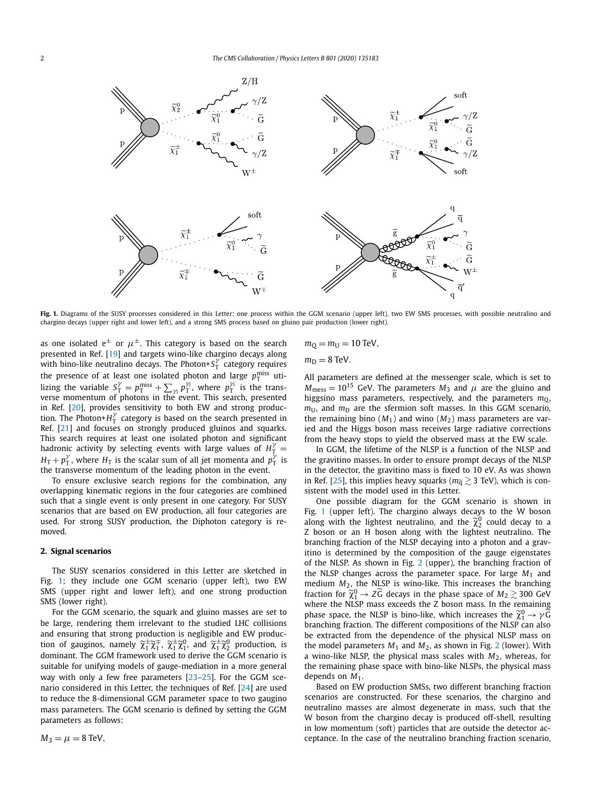<span id="page-1-0"></span>

Fig. 1. Diagrams of the SUSY processes considered in this Letter: one process within the GGM scenario (upper left), two EW SMS processes, with possible neutralino and chargino decays (upper right and lower left), and a strong SMS process based on gluino pair production (lower right).

as one isolated  $e^{\pm}$  or  $\mu^{\pm}$ . This category is based on the search presented in Ref. [\[19\]](#page-9-0) and targets wino-like chargino decays along with bino-like neutralino decays. The Photon+*S γ* <sup>T</sup> category requires the presence of at least one isolated photon and large  $p_T^{\text{miss}}$  utilizing the variable  $S_T^{\gamma} = p_T^{\text{miss}} + \sum_{\gamma_i} p_T^{\gamma_i}$ , where  $p_T^{\gamma_i}$  is the trans-<br>verse momentum of photons in the event. This search, presented in Ref. [\[20\]](#page-9-0), provides sensitivity to both EW and strong production. The Photon+ $H_T^{\gamma}$  category is based on the search presented in Ref. [\[21\]](#page-9-0) and focuses on strongly produced gluinos and squarks. This search requires at least one isolated photon and significant hadronic activity by selecting events with large values of  $H_T^{\gamma}$  $H_T + p_T^{\gamma}$ , where  $H_T$  is the scalar sum of all jet momenta and  $p_T^{\gamma}$  is the transverse momentum of the leading photon in the event.

To ensure exclusive search regions for the combination, any overlapping kinematic regions in the four categories are combined such that a single event is only present in one category. For SUSY scenarios that are based on EW production, all four categories are used. For strong SUSY production, the Diphoton category is removed.

#### **2. Signal scenarios**

The SUSY scenarios considered in this Letter are sketched in Fig. 1; they include one GGM scenario (upper left), two EW SMS (upper right and lower left), and one strong production SMS (lower right).

For the GGM scenario, the squark and gluino masses are set to be large, rendering them irrelevant to the studied LHC collisions and ensuring that strong production is negligible and EW production of gauginos, namely  $\widetilde{\chi}_1^{\pm} \widetilde{\chi}_1^{\mp}$ ,  $\widetilde{\chi}_1^{\pm} \widetilde{\chi}_1^0$ , and  $\widetilde{\chi}_1^{\pm} \widetilde{\chi}_2^0$  production, is dominant. The GGM framework used to derive the GGM scenario is suitable for unifying models of gauge-mediation in a more general way with only a few free parameters [23-25]. For the GGM scenario considered in this Letter, the techniques of Ref. [\[24\]](#page-9-0) are used to reduce the 8-dimensional GGM parameter space to two gaugino mass parameters. The GGM scenario is defined by setting the GGM parameters as follows:

 $M_3 = \mu = 8$  TeV,

 $m<sub>O</sub> = m<sub>U</sub> = 10$  TeV,

 $m_D = 8$  TeV.

All parameters are defined at the messenger scale, which is set to  $M_{\text{mess}} = 10^{15}$  GeV. The parameters  $M_3$  and  $\mu$  are the gluino and higgsino mass parameters, respectively, and the parameters  $m_0$ ,  $m_{\text{U}}$ , and  $m_{\text{D}}$  are the sfermion soft masses. In this GGM scenario, the remaining bino  $(M_1)$  and wino  $(M_2)$  mass parameters are varied and the Higgs boson mass receives large radiative corrections from the heavy stops to yield the observed mass at the EW scale.

In GGM, the lifetime of the NLSP is a function of the NLSP and the gravitino masses. In order to ensure prompt decays of the NLSP in the detector, the gravitino mass is fixed to 10 eV. As was shown in Ref. [\[25\]](#page-9-0), this implies heavy squarks ( $m_{\tilde{q}} \gtrsim 3$  TeV), which is consistent with the model used in this Letter.

One possible diagram for the GGM scenario is shown in Fig. 1 (upper left). The chargino always decays to the W boson along with the lightest neutralino, and the  $\tilde{\chi}^0$  could decay to a Z boson or an H boson along with the lightest neutralino. The branching fraction of the NLSP decaying into a photon and a gravitino is determined by the composition of the gauge eigenstates of the NLSP. As shown in Fig. [2](#page-2-0) (upper), the branching fraction of the NLSP changes across the parameter space. For large  $M_1$  and medium *M*2, the NLSP is wino-like. This increases the branching fraction for  $\widetilde{\chi}_1^0 \rightarrow Z\widetilde{G}$  decays in the phase space of  $M_2 \gtrsim 300$  GeV where the NLSP mass exceeds the Z boson mass. In the remaining phase space, the NLSP is bino-like, which increases the  $\widetilde{\chi}^0_1 \rightarrow \gamma \widetilde{G}$ branching fraction. The different compositions of the NLSP can also be extracted from the dependence of the physical NLSP mass on the model parameters  $M_1$  and  $M_2$  $M_2$ , as shown in Fig. 2 (lower). With a wino-like NLSP, the physical mass scales with *M*2, whereas, for the remaining phase space with bino-like NLSPs, the physical mass depends on  $M_1$ .

Based on EW production SMSs, two different branching fraction scenarios are constructed. For these scenarios, the chargino and neutralino masses are almost degenerate in mass, such that the W boson from the chargino decay is produced off-shell, resulting in low momentum (soft) particles that are outside the detector acceptance. In the case of the neutralino branching fraction scenario,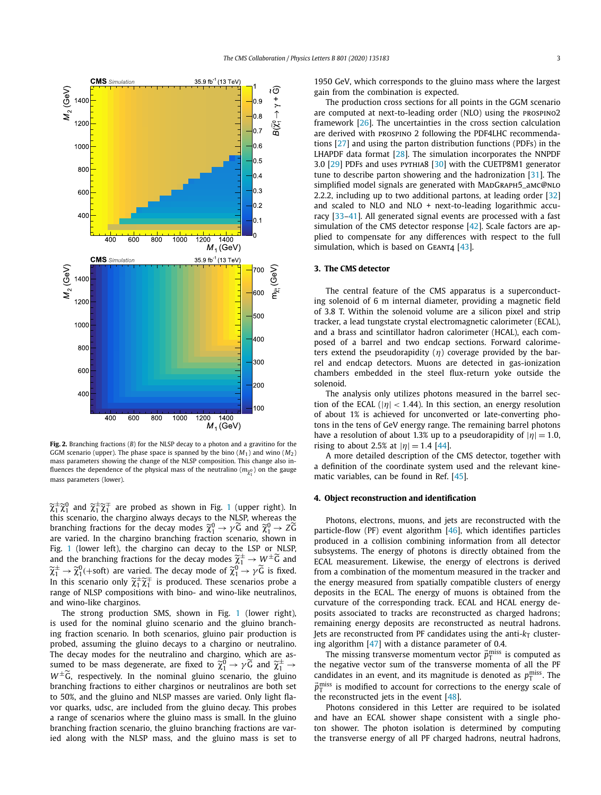<span id="page-2-0"></span>

**Fig. 2.** Branching fractions (*B*) for the NLSP decay to a photon and a gravitino for the GGM scenario (upper). The phase space is spanned by the bino  $(M_1)$  and wino  $(M_2)$ mass parameters showing the change of the NLSP composition. This change also influences the dependence of the physical mass of the neutralino  $(m_{\widetilde{\chi}^0_1})$  on the gauge mass parameters (lower).

 $\widetilde{\chi}_1^{\pm} \widetilde{\chi}_1^0$  $\widetilde{\chi}_1^{\pm} \widetilde{\chi}_1^0$  $\widetilde{\chi}_1^{\pm} \widetilde{\chi}_1^0$  and  $\widetilde{\chi}_1^{\pm} \widetilde{\chi}_1^{\mp}$  are probed as shown in Fig. 1 (upper right). In this scenario, the chargino always decays to the NLSP, whereas the branching fractions for the decay modes  $\widetilde{\chi}^0_1 \rightarrow \gamma \widetilde{G}$  and  $\widetilde{\chi}^0_1 \rightarrow Z \widetilde{G}$ are varied. In the chargino branching fraction scenario, shown in Fig. [1](#page-1-0) (lower left), the chargino can decay to the LSP or NLSP, and the branching fractions for the decay modes  $\widetilde{\chi}_1^{\pm} \to W^{\pm}G$  and  $\widetilde{\chi}_1^{\pm} \rightarrow \widetilde{\chi}_1^0$  (+soft) are varied. The decay mode of  $\widetilde{\chi}_1^0 \rightarrow \gamma \widetilde{G}$  is fixed. In this scenario only  $\widetilde{\chi}_1^{\pm} \widetilde{\chi}_1^{\mp}$  is produced. These scenarios probe a range of NLSP compositions with bino- and wino-like neutralinos, and wino-like charginos.

The strong production SMS, shown in Fig. [1](#page-1-0) (lower right), is used for the nominal gluino scenario and the gluino branching fraction scenario. In both scenarios, gluino pair production is probed, assuming the gluino decays to a chargino or neutralino. The decay modes for the neutralino and chargino, which are assumed to be mass degenerate, are fixed to  $\widetilde{\chi}^0_1 \to \gamma \widetilde{G}$  and  $\widetilde{\chi}^{\pm}_1 \to \gamma \widetilde{G}$  $W^{\pm}$ G, respectively. In the nominal gluino scenario, the gluino branching fractions to either charginos or neutralinos are both set to 50%, and the gluino and NLSP masses are varied. Only light flavor quarks, udsc, are included from the gluino decay. This probes a range of scenarios where the gluino mass is small. In the gluino branching fraction scenario, the gluino branching fractions are varied along with the NLSP mass, and the gluino mass is set to 1950 GeV, which corresponds to the gluino mass where the largest gain from the combination is expected.

The production cross sections for all points in the GGM scenario are computed at next-to-leading order (NLO) using the prospino2 framework [\[26\]](#page-9-0). The uncertainties in the cross section calculation are derived with prospino 2 following the PDF4LHC recommendations [\[27\]](#page-9-0) and using the parton distribution functions (PDFs) in the LHAPDF data format [\[28\]](#page-9-0). The simulation incorporates the NNPDF 3.0 [\[29\]](#page-9-0) PDFs and uses pythia8 [\[30\]](#page-9-0) with the CUETP8M1 generator tune to describe parton showering and the hadronization [\[31\]](#page-9-0). The simplified model signals are generated with MADGRAPH5\_aMC@NLO 2.2.2, including up to two additional partons, at leading order [\[32\]](#page-9-0) and scaled to NLO and NLO + next-to-leading logarithmic accuracy [\[33–41\]](#page-9-0). All generated signal events are processed with a fast simulation of the CMS detector response [\[42\]](#page-9-0). Scale factors are applied to compensate for any differences with respect to the full simulation, which is based on GEANT4  $[43]$ .

#### **3. The CMS detector**

The central feature of the CMS apparatus is a superconducting solenoid of 6 m internal diameter, providing a magnetic field of 3.8 T. Within the solenoid volume are a silicon pixel and strip tracker, a lead tungstate crystal electromagnetic calorimeter (ECAL), and a brass and scintillator hadron calorimeter (HCAL), each composed of a barrel and two endcap sections. Forward calorimeters extend the pseudorapidity (*η*) coverage provided by the barrel and endcap detectors. Muons are detected in gas-ionization chambers embedded in the steel flux-return yoke outside the solenoid.

The analysis only utilizes photons measured in the barrel section of the ECAL ( $|\eta|$  < 1.44). In this section, an energy resolution of about 1% is achieved for unconverted or late-converting photons in the tens of GeV energy range. The remaining barrel photons have a resolution of about 1.3% up to a pseudorapidity of  $|\eta| = 1.0$ , rising to about 2.5% at  $|\eta| = 1.4$  [\[44\]](#page-9-0).

A more detailed description of the CMS detector, together with a definition of the coordinate system used and the relevant kinematic variables, can be found in Ref. [\[45\]](#page-9-0).

#### **4. Object reconstruction and identification**

Photons, electrons, muons, and jets are reconstructed with the particle-flow (PF) event algorithm [\[46\]](#page-9-0), which identifies particles produced in a collision combining information from all detector subsystems. The energy of photons is directly obtained from the ECAL measurement. Likewise, the energy of electrons is derived from a combination of the momentum measured in the tracker and the energy measured from spatially compatible clusters of energy deposits in the ECAL. The energy of muons is obtained from the curvature of the corresponding track. ECAL and HCAL energy deposits associated to tracks are reconstructed as charged hadrons; remaining energy deposits are reconstructed as neutral hadrons. Jets are reconstructed from PF candidates using the anti- $k<sub>T</sub>$  clustering algorithm [\[47\]](#page-9-0) with a distance parameter of 0.4.

The missing transverse momentum vector  $\vec{p}_{\text{T}}^{\text{miss}}$  is computed as the negative vector sum of the transverse momenta of all the PF candidates in an event, and its magnitude is denoted as  $p_T^{\text{miss}}$ . The  $\vec{p}_{\rm T}^{\rm miss}$  is modified to account for corrections to the energy scale of the reconstructed jets in the event [\[48\]](#page-9-0).

Photons considered in this Letter are required to be isolated and have an ECAL shower shape consistent with a single photon shower. The photon isolation is determined by computing the transverse energy of all PF charged hadrons, neutral hadrons,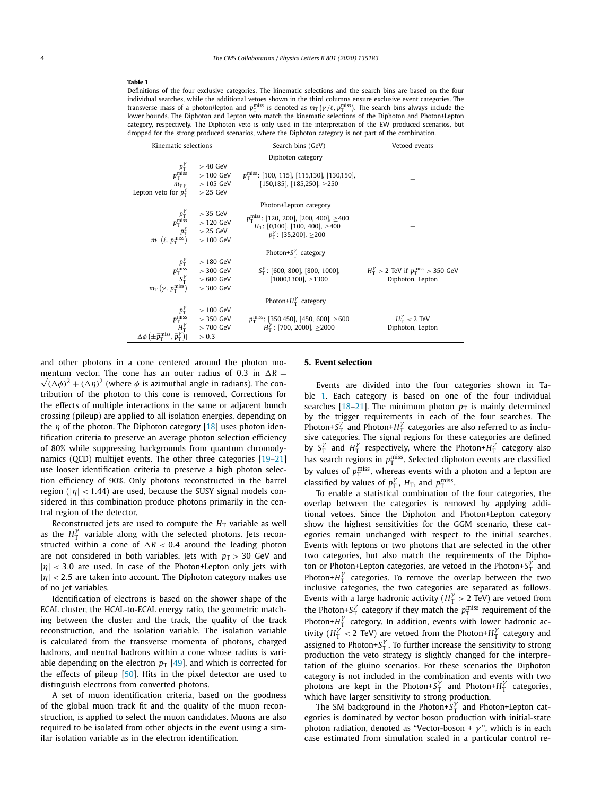#### <span id="page-3-0"></span>**Table 1**

Definitions of the four exclusive categories. The kinematic selections and the search bins are based on the four individual searches, while the additional vetoes shown in the third columns ensure exclusive event categories. The transverse mass of a photon/lepton and  $p_T^{\text{miss}}$  is denoted as  $m_T(\gamma/\ell, p_T^{\text{miss}})$ . The search bins always include the lower bounds. The Diphoton and Lepton veto match the kinematic selections of the Diphoton and Photon+Lepton category, respectively. The Diphoton veto is only used in the interpretation of the EW produced scenarios, but dropped for the strong produced scenarios, where the Diphoton category is not part of the combination.

| Kinematic selections                                                                                                                                                                                                                                                                        |                                                                                                                         | Search bins (GeV)                                                                                                                                     | Vetoed events                                                                        |  |  |  |
|---------------------------------------------------------------------------------------------------------------------------------------------------------------------------------------------------------------------------------------------------------------------------------------------|-------------------------------------------------------------------------------------------------------------------------|-------------------------------------------------------------------------------------------------------------------------------------------------------|--------------------------------------------------------------------------------------|--|--|--|
|                                                                                                                                                                                                                                                                                             |                                                                                                                         | Diphoton category                                                                                                                                     |                                                                                      |  |  |  |
| Lepton veto for $p_T^{\ell}$                                                                                                                                                                                                                                                                | $p_{\text{T}}^{\gamma}$ > 40 GeV<br>$p_{\text{T}}^{\text{miss}}$ > 100 GeV<br>$m_{\gamma\gamma}$ > 105 GeV<br>$>25$ GeV | $p_{\rm T}^{\rm miss}$ : [100, 115], [115,130], [130,150],<br>$[150, 185]$ , $[185, 250]$ , $\geq 250$                                                |                                                                                      |  |  |  |
|                                                                                                                                                                                                                                                                                             |                                                                                                                         | Photon+Lepton category                                                                                                                                |                                                                                      |  |  |  |
| $\begin{array}{ccc} & p_{\textrm{T}}^{\textrm{y}} & > 35 \textrm{ GeV} \\ p_{\textrm{T}}^{\textrm{miss}} & > 120 \textrm{ GeV} \\ & p_{\textrm{T}}^{\textrm{f}} & > 25 \textrm{ GeV} \\ m_{\textrm{T}}\left(\ell,\,p_{\textrm{T}}^{\textrm{miss}}\right) & > 100 \textrm{ GeV} \end{array}$ |                                                                                                                         | $p_{\rm T}^{\rm miss}$ : [120, 200], [200, 400], $\geq$ 400<br>$H_T$ : [0,100], [100, 400], $\geq$ 400<br>$p_{\rm T}^{\gamma}$ : [35,200], $\geq$ 200 |                                                                                      |  |  |  |
|                                                                                                                                                                                                                                                                                             |                                                                                                                         | Photon+ $S_{\rm T}^{\gamma}$ category                                                                                                                 |                                                                                      |  |  |  |
| $\begin{array}{cc} p_{\rm T}^{\gamma} & > 180 \text{ GeV} \\ p_{\rm T}^{\rm miss} & > 300 \text{ GeV} \\ S_{\rm T}^{\gamma} & > 600 \text{ GeV} \\ m_{\rm T}\left(\gamma, p_{\rm T}^{\rm miss}\right) & > 300 \text{ GeV} \end{array}$                                                      |                                                                                                                         | $S_{\rm T}^{\gamma}$ : [600, 800], [800, 1000],<br>$[1000, 1300]$ , $>1300$                                                                           | $H_{\rm T}^{\gamma} > 2$ TeV if $p_{\rm T}^{\rm miss} > 350$ GeV<br>Diphoton, Lepton |  |  |  |
| Photon+ $H_{\rm T}^{\gamma}$ category                                                                                                                                                                                                                                                       |                                                                                                                         |                                                                                                                                                       |                                                                                      |  |  |  |
| $ \Delta\phi $ $(\pm \vec{p}_{\rm T}^{\rm miss}, \vec{p}_{\rm T}^{\gamma}) $                                                                                                                                                                                                                | $p_{\text{T}}^{\gamma}$<br>$p_{\text{T}}^{\text{miss}}$ > 350 G<br>$H_{\text{T}}^{\gamma}$ > 700 GeV<br>$> 0.3$         | $p_{\rm T}^{\rm miss}$ : [350,450], [450, 600], $\geq$ 600<br>$H_{\rm T}^{\gamma}$ : [700, 2000], $\geq$ 2000                                         | $H_{\rm T}^{\gamma}$ < 2 TeV<br>Diphoton, Lepton                                     |  |  |  |

and other photons in a cone centered around the photon mo $m$  mentum vector. The cone has an outer radius of 0.3 in  $\Delta R =$  $\sqrt{(\Delta\phi)^2 + (\Delta\eta)^2}$  (where  $\phi$  is azimuthal angle in radians). The contribution of the photon to this cone is removed. Corrections for the effects of multiple interactions in the same or adjacent bunch crossing (pileup) are applied to all isolation energies, depending on the *η* of the photon. The Diphoton category [\[18\]](#page-9-0) uses photon identification criteria to preserve an average photon selection efficiency of 80% while suppressing backgrounds from quantum chromodynamics (QCD) multijet events. The other three categories [\[19–21\]](#page-9-0) use looser identification criteria to preserve a high photon selection efficiency of 90%. Only photons reconstructed in the barrel region ( $|\eta|$  < 1.44) are used, because the SUSY signal models considered in this combination produce photons primarily in the central region of the detector.

Reconstructed jets are used to compute the  $H<sub>T</sub>$  variable as well as the  $H_{\text{T}}^{\gamma}$  variable along with the selected photons. Jets reconstructed within a cone of  $\Delta R < 0.4$  around the leading photon are not considered in both variables. Jets with  $p_T > 30$  GeV and |*η*| *<* <sup>3</sup>*.*0 are used. In case of the Photon+Lepton only jets with |*η*| *<* <sup>2</sup>*.*5 are taken into account. The Diphoton category makes use of no jet variables.

Identification of electrons is based on the shower shape of the ECAL cluster, the HCAL-to-ECAL energy ratio, the geometric matching between the cluster and the track, the quality of the track reconstruction, and the isolation variable. The isolation variable is calculated from the transverse momenta of photons, charged hadrons, and neutral hadrons within a cone whose radius is variable depending on the electron  $p_T$  [\[49\]](#page-9-0), and which is corrected for the effects of pileup [\[50\]](#page-9-0). Hits in the pixel detector are used to distinguish electrons from converted photons.

A set of muon identification criteria, based on the goodness of the global muon track fit and the quality of the muon reconstruction, is applied to select the muon candidates. Muons are also required to be isolated from other objects in the event using a similar isolation variable as in the electron identification.

#### **5. Event selection**

Events are divided into the four categories shown in Table 1. Each category is based on one of the four individual searches [\[18–21\]](#page-9-0). The minimum photon  $p_T$  is mainly determined by the trigger requirements in each of the four searches. The Photon+ $S^{\gamma}_{T}$  and Photon+ $H^{\gamma}_{T}$  categories are also referred to as inclusive categories. The signal regions for these categories are defined by  $S_{\text{T}}^{\gamma}$  and  $H_{\text{T}}^{\gamma}$  respectively, where the Photon+ $H_{\text{T}}^{\gamma}$  category also has search regions in  $p_T^{\text{miss}}$ . Selected diphoton events are classified by values of  $p_T^{\text{miss}}$ , whereas events with a photon and a lepton are classified by values of  $p_T^{\gamma}$ ,  $H_T$ , and  $p_T^{\text{miss}}$ .

To enable a statistical combination of the four categories, the overlap between the categories is removed by applying additional vetoes. Since the Diphoton and Photon+Lepton category show the highest sensitivities for the GGM scenario, these categories remain unchanged with respect to the initial searches. Events with leptons or two photons that are selected in the other two categories, but also match the requirements of the Diphoton or Photon+Lepton categories, are vetoed in the Photon+*S*<sup>γ</sup><sup>2</sup> and Photon+ $H_T^{\gamma}$  categories. To remove the overlap between the two inclusive categories, the two categories are separated as follows. Events with a large hadronic activity ( $H_T^{\gamma} > 2$  TeV) are vetoed from the Photon+ $S_T^{\gamma}$  category if they match the  $p_T^{\text{miss}}$  requirement of the Photon+ $H_T^{\gamma}$  category. In addition, events with lower hadronic activity ( $H_T^{\gamma'}$  < 2 TeV) are vetoed from the Photon+ $H_T^{\gamma}$  category and assigned to Photon+ $S_T^{\gamma}$ . To further increase the sensitivity to strong production the veto strategy is slightly changed for the interpretation of the gluino scenarios. For these scenarios the Diphoton category is not included in the combination and events with two photons are kept in the Photon+ $S_T^{\gamma}$  and Photon+ $H_T^{\gamma}$  categories, which have larger sensitivity to strong production.

The SM background in the Photon+ $S_1^{\gamma}$  and Photon+Lepton categories is dominated by vector boson production with initial-state photon radiation, denoted as "Vector-boson +  $\gamma$ ", which is in each case estimated from simulation scaled in a particular control re-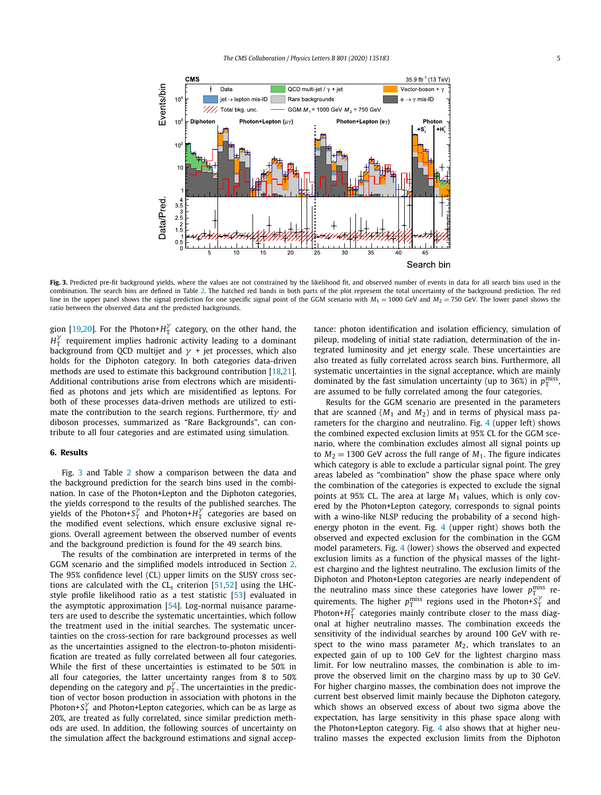

Fig. 3. Predicted pre-fit background yields, where the values are not constrained by the likelihood fit, and observed number of events in data for all search bins used in the combination. The search bins are defined in Table [2.](#page-5-0) The hatched red bands in both parts of the plot represent the total uncertainty of the background prediction. The red line in the upper panel shows the signal prediction for one specific signal point of the GGM scenario with  $M_1 = 1000$  GeV and  $M_2 = 750$  GeV. The lower panel shows the ratio between the observed data and the predicted backgrounds.

gion [\[19,20\]](#page-9-0). For the Photon+ $H_{\text{T}}^{\gamma}$  category, on the other hand, the  $H_T^{\gamma}$  requirement implies hadronic activity leading to a dominant background from QCD multijet and  $\gamma$  + jet processes, which also holds for the Diphoton category. In both categories data-driven methods are used to estimate this background contribution [\[18,21\]](#page-9-0). Additional contributions arise from electrons which are misidentified as photons and jets which are misidentified as leptons. For both of these processes data-driven methods are utilized to estimate the contribution to the search regions. Furthermore, ttγ and diboson processes, summarized as "Rare Backgrounds", can contribute to all four categories and are estimated using simulation.

#### **6. Results**

Fig. 3 and Table [2](#page-5-0) show a comparison between the data and the background prediction for the search bins used in the combination. In case of the Photon+Lepton and the Diphoton categories, the yields correspond to the results of the published searches. The  $y$ ields of the Photon+ $S_Y^{\gamma}$  and Photon+ $H_Y^{\gamma}$  categories are based on the modified event selections, which ensure exclusive signal regions. Overall agreement between the observed number of events and the background prediction is found for the 49 search bins.

The results of the combination are interpreted in terms of the GGM scenario and the simplified models introduced in Section [2.](#page-1-0) The 95% confidence level (CL) upper limits on the SUSY cross sections are calculated with the  $CL<sub>s</sub>$  criterion [\[51,52\]](#page-9-0) using the LHCstyle profile likelihood ratio as a test statistic [\[53\]](#page-9-0) evaluated in the asymptotic approximation [\[54\]](#page-9-0). Log-normal nuisance parameters are used to describe the systematic uncertainties, which follow the treatment used in the initial searches. The systematic uncertainties on the cross-section for rare background processes as well as the uncertainties assigned to the electron-to-photon misidentification are treated as fully correlated between all four categories. While the first of these uncertainties is estimated to be 50% in all four categories, the latter uncertainty ranges from 8 to 50% depending on the category and  $p<sub>T</sub><sup>γ</sup>$ . The uncertainties in the prediction of vector boson production in association with photons in the *Photon+S<sup>γ</sup>* and Photon+Lepton categories, which can be as large as 20%, are treated as fully correlated, since similar prediction methods are used. In addition, the following sources of uncertainty on the simulation affect the background estimations and signal acceptance: photon identification and isolation efficiency, simulation of pileup, modeling of initial state radiation, determination of the integrated luminosity and jet energy scale. These uncertainties are also treated as fully correlated across search bins. Furthermore, all systematic uncertainties in the signal acceptance, which are mainly dominated by the fast simulation uncertainty (up to 36%) in  $p_T^{\text{miss}}$ , are assumed to be fully correlated among the four categories.

Results for the GGM scenario are presented in the parameters that are scanned  $(M_1$  and  $M_2$ ) and in terms of physical mass parameters for the chargino and neutralino. Fig. [4](#page-6-0) (upper left) shows the combined expected exclusion limits at 95% CL for the GGM scenario, where the combination excludes almost all signal points up to  $M_2$  = 1300 GeV across the full range of  $M_1$ . The figure indicates which category is able to exclude a particular signal point. The grey areas labeled as "combination" show the phase space where only the combination of the categories is expected to exclude the signal points at 95% CL. The area at large *M*<sup>1</sup> values, which is only covered by the Photon+Lepton category, corresponds to signal points with a wino-like NLSP reducing the probability of a second highenergy photon in the event. Fig. [4](#page-6-0) (upper right) shows both the observed and expected exclusion for the combination in the GGM model parameters. Fig. [4](#page-6-0) (lower) shows the observed and expected exclusion limits as a function of the physical masses of the lightest chargino and the lightest neutralino. The exclusion limits of the Diphoton and Photon+Lepton categories are nearly independent of the neutralino mass since these categories have lower  $p_T^{\text{miss}}$  requirements. The higher  $p_T^{\text{miss}}$  regions used in the Photon+ $S_T^{\gamma}$  and Photon+ $H_T^{\gamma}$  categories mainly contribute closer to the mass diagonal at higher neutralino masses. The combination exceeds the sensitivity of the individual searches by around 100 GeV with respect to the wino mass parameter  $M_2$ , which translates to an expected gain of up to 100 GeV for the lightest chargino mass limit. For low neutralino masses, the combination is able to improve the observed limit on the chargino mass by up to 30 GeV. For higher chargino masses, the combination does not improve the current best observed limit mainly because the Diphoton category, which shows an observed excess of about two sigma above the expectation, has large sensitivity in this phase space along with the Photon+Lepton category. Fig. [4](#page-6-0) also shows that at higher neutralino masses the expected exclusion limits from the Diphoton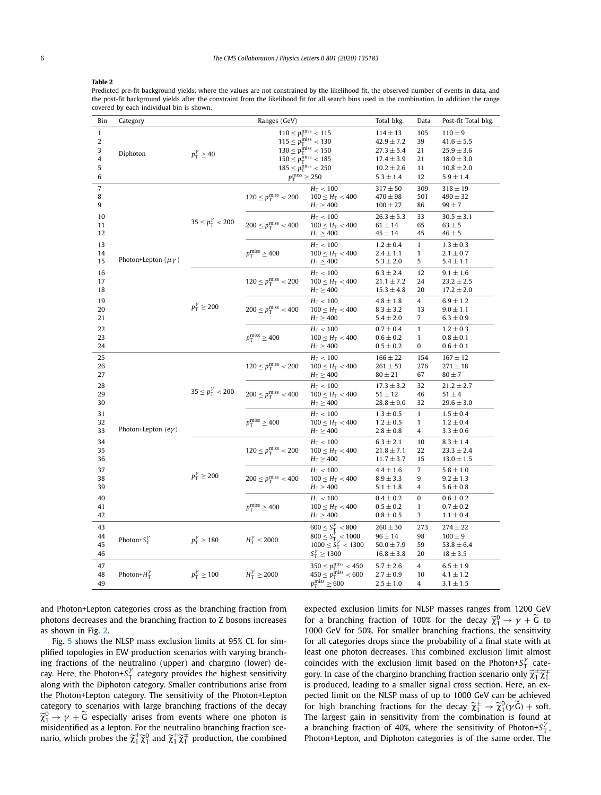#### <span id="page-5-0"></span>**Table 2**

Predicted pre-fit background yields, where the values are not constrained by the likelihood fit, the observed number of events in data, and the post-fit background yields after the constraint from the likelihood fit for all search bins used in the combination. In addition the range covered by each individual bin is shown.

| Bin            | Category                        | Ranges (GeV)                  |                                       |                                       | Total bkg.                     | Data         | Post-fit Total bkg. |
|----------------|---------------------------------|-------------------------------|---------------------------------------|---------------------------------------|--------------------------------|--------------|---------------------|
| $\mathbf{1}$   |                                 |                               | $110 \le p_{\rm T}^{\rm miss} < 115$  |                                       | $114 \pm 13$<br>$42.9 \pm 7.2$ | 105          | $110 \pm 9$         |
| 2              |                                 |                               |                                       | $115 \le p_{\rm T}^{\rm miss} < 130$  |                                | 39           | $41.6 \pm 5.5$      |
| 3              | Diphoton                        | $p_{\rm T}^{\gamma} \geq 40$  |                                       | $130 \le p_T^{\text{miss}} < 150$     | $27.3 \pm 5.4$                 | 21           | $25.9 \pm 3.6$      |
| 4              |                                 |                               |                                       | $150 \le p_T^{\text{miss}} < 185$     | $17.4 \pm 3.9$                 | 21           | $18.0 \pm 3.0$      |
| 5              |                                 |                               |                                       | $185 \le p_T^{\text{miss}} < 250$     | $10.2 \pm 2.6$                 | 11           | $10.8 \pm 2.0$      |
| 6              |                                 |                               |                                       | $p_{\text{T}}^{\text{miss}} \geq 250$ | $5.3 \pm 1.4$                  | 12           | $5.9 \pm 1.4$       |
| $\overline{7}$ |                                 |                               |                                       | $H_T < 100$                           | $317 + 50$                     | 309          | $318 \pm 19$        |
| 8              |                                 |                               | $120 \le p_T^{\text{miss}} < 200$     | $100 \leq H_T < 400$                  | $470 \pm 98$                   | 501          | $490 \pm 32$        |
| 9              |                                 |                               |                                       | $H_T \geq 400$                        | $100 \pm 27$                   | 86           | $99 \pm 7$          |
| 10             |                                 |                               |                                       | $H_T < 100$                           | $26.3 \pm 5.3$                 | 33           | $30.5 \pm 3.1$      |
| 11             |                                 | $35 \le p_T^{\gamma} < 200$   | $200 \le p_T^{\text{miss}} < 400$     | $100 \leq H_T < 400$                  | $61 \pm 14$                    | 65           | $63 \pm 5$          |
| 12             |                                 |                               |                                       | $H_T \geq 400$                        | $45 \pm 14$                    | 45           | $46 \pm 5$          |
|                |                                 |                               |                                       |                                       |                                |              |                     |
| 13             |                                 |                               |                                       | $H_T < 100$                           | $1.2 \pm 0.4$                  | $\mathbf{1}$ | $1.3 \pm 0.3$       |
| 14             | Photon+Lepton $(\mu \gamma)$    |                               | $p_{\text{T}}^{\text{miss}} \geq 400$ | $100 \leq H_T < 400$                  | $2.4 \pm 1.1$                  | 1            | $2.1 \pm 0.7$       |
| 15             |                                 |                               |                                       | $H_{\text{T}} \geq 400$               | $5.3 \pm 2.0$                  | 5            | $5.4 \pm 1.1$       |
| 16             |                                 |                               |                                       | $H_T < 100$                           | $6.3 \pm 2.4$                  | 12           | $9.1 \pm 1.6$       |
| 17             |                                 |                               | $120 \le p_T^{\text{miss}} < 200$     | $100 \leq H_T < 400$                  | $21.1 \pm 7.2$                 | 24           | $23.2 \pm 2.5$      |
| 18             |                                 |                               |                                       | $H_T \geq 400$                        | $15.3 \pm 4.8$                 | 20           | $17.2 \pm 2.0$      |
| 19             |                                 |                               |                                       | $H_T < 100$                           | $4.8 \pm 1.8$                  | 4            | $6.9 \pm 1.2$       |
| 20             |                                 | $p_{\rm T}^{\gamma} \geq 200$ | $200 \le p_{\rm T}^{\rm miss} < 400$  | $100 \leq H_T < 400$                  | $8.3 \pm 3.2$                  | 13           | $9.0 \pm 1.1$       |
| 21             |                                 |                               |                                       | $H_T \geq 400$                        | $5.4 \pm 2.0$                  | 7            | $6.3 \pm 0.9$       |
| 22             |                                 |                               |                                       | $H_{\rm T} < 100$                     | $0.7 \pm 0.4$                  | $\mathbf{1}$ | $1.2 \pm 0.3$       |
| 23             |                                 |                               | $p_{\rm T}^{\rm miss} \geq 400$       | $100 \leq H_T < 400$                  | $0.6 \pm 0.2$                  | 1            | $0.8 \pm 0.1$       |
| 24             |                                 |                               |                                       | $H_T \geq 400$                        | $0.5 \pm 0.2$                  | 0            | $0.6 \pm 0.1$       |
| 25             |                                 |                               |                                       | $H_T < 100$                           | $166 \pm 22$                   | 154          | $167 \pm 12$        |
| 26             |                                 |                               | $120 \le p_T^{\text{miss}} < 200$     | $100 \leq H_T < 400$                  | $261 \pm 53$                   | 276          | $271 \pm 18$        |
| 27             |                                 |                               |                                       | $H_T \geq 400$                        | $80 \pm 21$                    | 67           | $80 \pm 7$          |
| 28             |                                 |                               |                                       | $H_T < 100$                           | $17.3 \pm 3.2$                 | 32           | $21.2 \pm 2.7$      |
| 29             |                                 | $35 \le p_T^{\gamma} < 200$   | $200 \le p_{\rm T}^{\rm miss} < 400$  | $100 \leq H_T < 400$                  | $51 \pm 12$                    | 46           | $51 \pm 4$          |
| 30             |                                 |                               |                                       | $H_T \geq 400$                        | $28.8 \pm 9.0$                 | 32           | $29.6 \pm 3.0$      |
|                |                                 |                               |                                       |                                       |                                |              |                     |
| 31             |                                 |                               |                                       | $H_T < 100$                           | $1.3 \pm 0.5$                  | $\mathbf{1}$ | $1.5 \pm 0.4$       |
| 32             | Photon+Lepton $(e\gamma)$       |                               | $p_{\rm T}^{\rm miss} \geq 400$       | $100 \leq H_T < 400$                  | $1.2 \pm 0.5$                  | $\mathbf{1}$ | $1.2 \pm 0.4$       |
| 33             |                                 |                               |                                       | $H_T \geq 400$                        | $2.8 \pm 0.8$                  | 4            | $3.3 \pm 0.6$       |
| 34             |                                 |                               |                                       | $H_{\rm T} < 100$                     | $6.3 \pm 2.1$                  | 10           | $8.3 \pm 1.4$       |
| 35             |                                 |                               | $120 \le p_T^{\text{miss}} < 200$     | $100 \leq H_T < 400$                  | $21.8 \pm 7.1$                 | 22           | $23.3 \pm 2.4$      |
| 36             |                                 |                               |                                       | $H_T \geq 400$                        | $11.7 \pm 3.7$                 | 15           | $13.0 \pm 1.5$      |
| 37             |                                 |                               |                                       | $H_T < 100$                           | $4.4 \pm 1.6$                  | 7            | $5.8 \pm 1.0$       |
| 38             |                                 | $p_{\rm T}^{\gamma} \geq 200$ | $200 \le p_T^{\text{miss}} < 400$     | $100 \leq H_T < 400$                  | $8.9 \pm 3.3$                  | 9            | $9.2 \pm 1.3$       |
| 39             |                                 |                               |                                       | $H_T \geq 400$                        | $5.1 \pm 1.8$                  | 4            | $5.6 \pm 0.8$       |
| 40             |                                 |                               |                                       | $H_{\rm T} < 100$                     | $0.4 \pm 0.2$                  | 0            | $0.6 \pm 0.2$       |
| 41             |                                 |                               | $p_{\rm T}^{\rm miss} \geq 400$       | $100 \leq H_T < 400$                  | $0.5 \pm 0.2$                  | 1            | $0.7 \pm 0.2$       |
| 42             |                                 |                               |                                       | $H_T \geq 400$                        | $0.8 \pm 0.5$                  | 3            | $1.1 \pm 0.4$       |
| 43             |                                 |                               |                                       | $600 \le S_T^{\gamma} < 800$          | $260 \pm 30$                   | 273          | $274 \pm 22$        |
| 44             |                                 |                               |                                       | $800 \le S_T^{\gamma} < 1000$         | $96 \pm 14$                    | 98           | $100 \pm 9$         |
| 45             | Photon+ $S_{\text{T}}^{\gamma}$ | $p_{\rm T}^{\gamma} \geq 180$ | $H_{\rm T}^{\gamma} \leq 2000$        | $1000 \leq S_T^{\gamma} < 1300$       | $50.0 \pm 7.9$                 | 59           | $53.8 \pm 6.4$      |
| 46             |                                 |                               |                                       | $S_{\rm T}^{\gamma} \ge 1300$         | $16.8 \pm 3.8$                 | 20           | $18 \pm 3.5$        |
|                |                                 |                               |                                       |                                       |                                |              |                     |
| 47             |                                 |                               |                                       | $350 \le p_T^{\text{miss}} < 450$     | $5.7 \pm 2.6$                  | 4            | $6.5 \pm 1.9$       |
| 48             | Photon+ $H_{\rm T}^{\gamma}$    | $p_{\rm T}^{\gamma} \geq 100$ | $H_{\rm T}^{\gamma} \geq 2000$        | $450 \le p_{\rm T}^{\rm miss} < 600$  | $2.7 \pm 0.9$                  | 10           | $4.1 \pm 1.2$       |
| 49             |                                 |                               |                                       | $p_{\text{T}}^{\text{miss}} \geq 600$ | $2.5 \pm 1.0$                  | 4            | $3.1 \pm 1.5$       |

and Photon+Lepton categories cross as the branching fraction from photons decreases and the branching fraction to Z bosons increases as shown in Fig. [2.](#page-2-0)

Fig. [5](#page-7-0) shows the NLSP mass exclusion limits at 95% CL for simplified topologies in EW production scenarios with varying branching fractions of the neutralino (upper) and chargino (lower) decay. Here, the Photon+S<sup>γ</sup> category provides the highest sensitivity along with the Diphoton category. Smaller contributions arise from the Photon+Lepton category. The sensitivity of the Photon+Lepton category to scenarios with large branching fractions of the decay  $\widetilde{\chi}^0_1 \rightarrow \gamma + \widetilde{G}$  especially arises from events where one photon is misidentified as a lepton. For the neutralino branching fraction scenario, which probes the  $\widetilde{\chi}^\pm_1\widetilde{\chi}^0_1$  and  $\widetilde{\chi}^\pm_1\widetilde{\chi}^\mp_1$  production, the combined

expected exclusion limits for NLSP masses ranges from 1200 GeV for a branching fraction of 100% for the decay  $\widetilde{\chi}_1^0 \rightarrow \gamma + \widetilde{G}$  to 1000 GeV for 50%. For smaller branching fractions, the sensitivity for all categories drops since the probability of a final state with at least one photon decreases. This combined exclusion limit almost coincides with the exclusion limit based on the Photon+ $S_T^{\gamma}$  category. In case of the chargino branching fraction scenario only  $\widetilde{\chi}_1^{\pm} \widetilde{\chi}_1^{\mp}$ is produced, leading to a smaller signal cross section. Here, an expected limit on the NLSP mass of up to 1000 GeV can be achieved for high branching fractions for the decay  $\widetilde{\chi}_1^{\pm} \rightarrow \widetilde{\chi}_1^0(\gamma \widetilde{G}) + \text{soft}.$ The largest gain in sensitivity from the combination is found at a branching fraction of 40%, where the sensitivity of Photon+ $S_T^{\gamma}$ , Photon+Lepton, and Diphoton categories is of the same order. The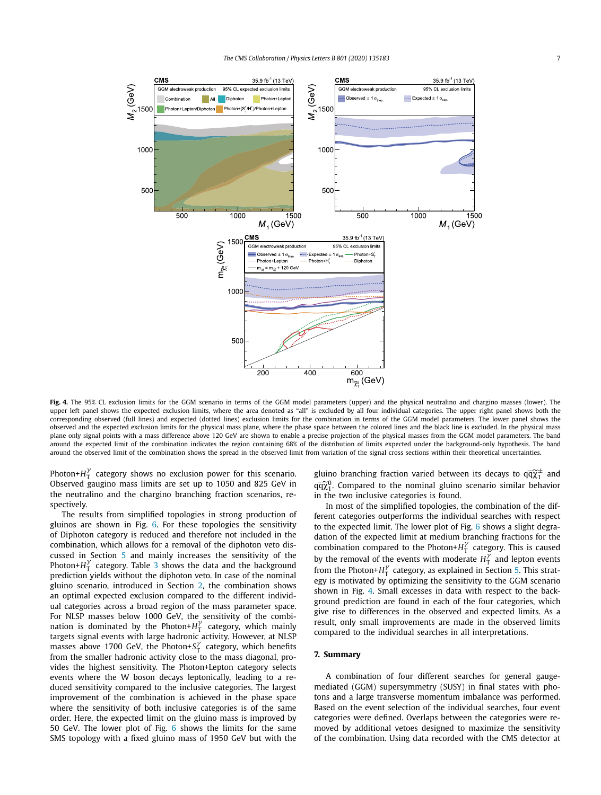<span id="page-6-0"></span>

**Fig. 4.** The 95% CL exclusion limits for the GGM scenario in terms of the GGM model parameters (upper) and the physical neutralino and chargino masses (lower). The upper left panel shows the expected exclusion limits, where the area denoted as "all" is excluded by all four individual categories. The upper right panel shows both the corresponding observed (full lines) and expected (dotted lines) exclusion limits for the combination in terms of the GGM model parameters. The lower panel shows the observed and the expected exclusion limits for the physical mass plane, where the phase space between the colored lines and the black line is excluded. In the physical mass plane only signal points with a mass difference above 120 GeV are shown to enable a precise projection of the physical masses from the GGM model parameters. The band around the expected limit of the combination indicates the region containing 68% of the distribution of limits expected under the background-only hypothesis. The band around the observed limit of the combination shows the spread in the observed limit from variation of the signal cross sections within their theoretical uncertainties.

Photon+ $H_T^{\gamma}$  category shows no exclusion power for this scenario. Observed gaugino mass limits are set up to 1050 and 825 GeV in the neutralino and the chargino branching fraction scenarios, respectively.

The results from simplified topologies in strong production of gluinos are shown in Fig. [6.](#page-7-0) For these topologies the sensitivity of Diphoton category is reduced and therefore not included in the combination, which allows for a removal of the diphoton veto discussed in Section [5](#page-3-0) and mainly increases the sensitivity of the Photon+*H<sup>γ</sup>* <sup>T</sup> category. Table [3](#page-8-0) shows the data and the background prediction yields without the diphoton veto. In case of the nominal gluino scenario, introduced in Section [2,](#page-1-0) the combination shows an optimal expected exclusion compared to the different individual categories across a broad region of the mass parameter space. For NLSP masses below 1000 GeV, the sensitivity of the combination is dominated by the Photon+*H<sup>γ</sup>* <sup>T</sup> category, which mainly targets signal events with large hadronic activity. However, at NLSP masses above 1700 GeV, the Photon+S<sup>*γ*</sup> category, which benefits from the smaller hadronic activity close to the mass diagonal, provides the highest sensitivity. The Photon+Lepton category selects events where the W boson decays leptonically, leading to a reduced sensitivity compared to the inclusive categories. The largest improvement of the combination is achieved in the phase space where the sensitivity of both inclusive categories is of the same order. Here, the expected limit on the gluino mass is improved by 50 GeV. The lower plot of Fig. [6](#page-7-0) shows the limits for the same SMS topology with a fixed gluino mass of 1950 GeV but with the

gluino branching fraction varied between its decays to  $\tilde{q} \tilde{q} \tilde{\chi}_1^{\pm}$  and  $q\overline{q}\widetilde{\chi}_{1}^{0}$ . Compared to the nominal gluino scenario similar behavior in the two inclusive categories is found.

In most of the simplified topologies, the combination of the different categories outperforms the individual searches with respect to the expected limit. The lower plot of Fig. [6](#page-7-0) shows a slight degradation of the expected limit at medium branching fractions for the combination compared to the Photon+ $H_T^{\gamma}$  category. This is caused by the removal of the events with moderate  $H_{\text{T}}^{\gamma}$  and lepton events from the Photon+ $H_T^{\gamma}$  category, as explained in Section [5.](#page-3-0) This strategy is motivated by optimizing the sensitivity to the GGM scenario shown in Fig. 4. Small excesses in data with respect to the background prediction are found in each of the four categories, which give rise to differences in the observed and expected limits. As a result, only small improvements are made in the observed limits compared to the individual searches in all interpretations.

#### **7. Summary**

A combination of four different searches for general gaugemediated (GGM) supersymmetry (SUSY) in final states with photons and a large transverse momentum imbalance was performed. Based on the event selection of the individual searches, four event categories were defined. Overlaps between the categories were removed by additional vetoes designed to maximize the sensitivity of the combination. Using data recorded with the CMS detector at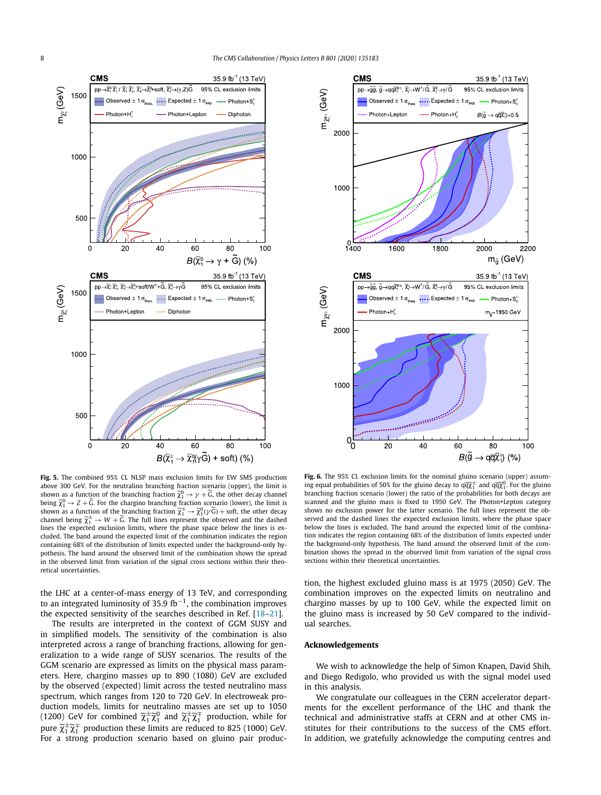<span id="page-7-0"></span>



**Fig. 5.** The combined 95% CL NLSP mass exclusion limits for EW SMS production above 300 GeV. For the neutralino branching fraction scenario (upper), the limit is shown as a function of the branching fraction  $\widetilde{\chi}_1^0 \to \gamma + \widetilde{G}$ , the other decay channel being  $\widetilde{\chi}_1^0 \rightarrow Z + \widetilde{G}$ . For the chargino branching fraction scenario (lower), the limit is shown as a function of the branching fraction  $\widetilde{\chi}^{\pm}_1 \rightarrow \widetilde{\chi}^0_1(\gamma \widetilde{G})$  + soft, the other decay channel being  $\widetilde{\chi}_1^{\pm} \rightarrow W + G$ . The full lines represent the observed and the dashed lines the expected exclusion limits, where the phase space below the lines is excluded. The band around the expected limit of the combination indicates the region containing 68% of the distribution of limits expected under the background-only hypothesis. The band around the observed limit of the combination shows the spread in the observed limit from variation of the signal cross sections within their theoretical uncertainties.

the LHC at a center-of-mass energy of 13 TeV, and corresponding to an integrated luminosity of 35.9 fb<sup>-1</sup>, the combination improves the expected sensitivity of the searches described in Ref. [\[18–21\]](#page-9-0).

The results are interpreted in the context of GGM SUSY and in simplified models. The sensitivity of the combination is also interpreted across a range of branching fractions, allowing for generalization to a wide range of SUSY scenarios. The results of the GGM scenario are expressed as limits on the physical mass parameters. Here, chargino masses up to 890 (1080) GeV are excluded by the observed (expected) limit across the tested neutralino mass spectrum, which ranges from 120 to 720 GeV. In electroweak production models, limits for neutralino masses are set up to 1050 (1200) GeV for combined  $\widetilde{\chi}_1^{\pm} \widetilde{\chi}_1^0$  and  $\widetilde{\chi}_1^{\pm} \widetilde{\chi}_1^{\mp}$  production, while for pure  $\widetilde{\chi}_1^{\pm} \widetilde{\chi}_1^{\mp}$  production these limits are reduced to 825 (1000) GeV. For a strong production scenario based on gluino pair produc-

**Fig. 6.** The 95% CL exclusion limits for the nominal gluino scenario (upper) assuming equal probabilities of 50% for the gluino decay to  $\overline{qq}\tilde{\chi}_1^{\pm}$  and  $\overline{qq}\tilde{\chi}_1^0$ . For the gluino branching fraction scenario (lower) the ratio of the probabilities for both decays are scanned and the gluino mass is fixed to 1950 GeV. The Photon+Lepton category shows no exclusion power for the latter scenario. The full lines represent the observed and the dashed lines the expected exclusion limits, where the phase space below the lines is excluded. The band around the expected limit of the combination indicates the region containing 68% of the distribution of limits expected under the background-only hypothesis. The band around the observed limit of the combination shows the spread in the observed limit from variation of the signal cross sections within their theoretical uncertainties.

tion, the highest excluded gluino mass is at 1975 (2050) GeV. The combination improves on the expected limits on neutralino and chargino masses by up to 100 GeV, while the expected limit on the gluino mass is increased by 50 GeV compared to the individual searches.

#### **Acknowledgements**

We wish to acknowledge the help of Simon Knapen, David Shih, and Diego Redigolo, who provided us with the signal model used in this analysis.

We congratulate our colleagues in the CERN accelerator departments for the excellent performance of the LHC and thank the technical and administrative staffs at CERN and at other CMS institutes for their contributions to the success of the CMS effort. In addition, we gratefully acknowledge the computing centres and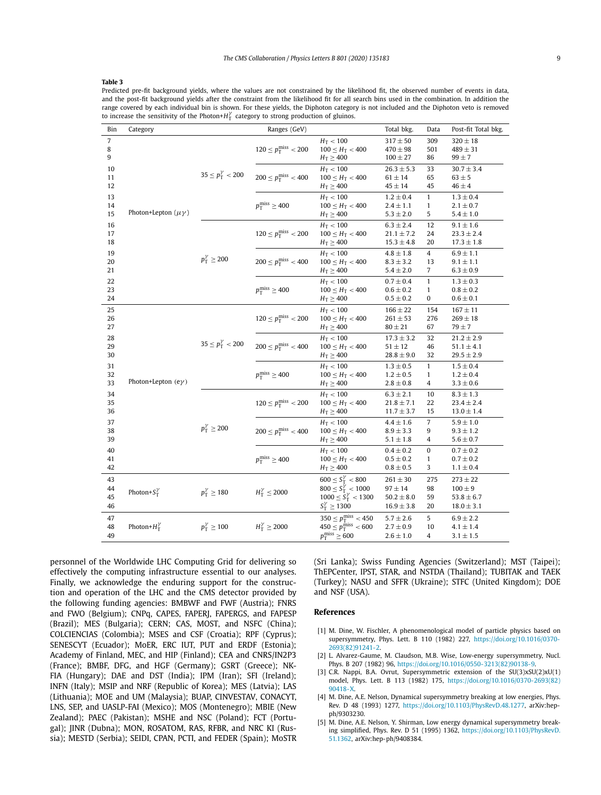<span id="page-8-0"></span>Predicted pre-fit background yields, where the values are not constrained by the likelihood fit, the observed number of events in data, and the post-fit background yields after the constraint from the likelihood fit for all search bins used in the combination. In addition the range covered by each individual bin is shown. For these yields, the Diphoton category is not included and the Diphoton veto is removed to increase the sensitivity of the Photon+ $H_T^{\gamma}$  category to strong production of gluinos.

| Bin                      | Category                     |                               | Ranges (GeV)                          |                                                                                                                                       | Total bkg.                                                      | Data                              | Post-fit Total bkg.                                             |
|--------------------------|------------------------------|-------------------------------|---------------------------------------|---------------------------------------------------------------------------------------------------------------------------------------|-----------------------------------------------------------------|-----------------------------------|-----------------------------------------------------------------|
| $\overline{7}$<br>8<br>9 | Photon+Lepton $(\mu \gamma)$ | $35 \le p_T^{\gamma} < 200$   | $120 \le p_{\rm T}^{\rm miss} < 200$  | $H_T < 100$<br>$100 \leq H_T < 400$<br>$H_T \geq 400$                                                                                 | $317 + 50$<br>$470 \pm 98$<br>$100 \pm 27$                      | 309<br>501<br>86                  | $320 \pm 18$<br>$489 \pm 31$<br>$99 \pm 7$                      |
| 10<br>11<br>12           |                              |                               | $200 \le p_{\rm T}^{\rm miss} < 400$  | $H_T < 100$<br>$100 \leq H_T < 400$<br>$H_T \geq 400$                                                                                 | $26.3 \pm 5.3$<br>$61 \pm 14$<br>$45 \pm 14$                    | 33<br>65<br>45                    | $30.7 \pm 3.4$<br>$63 \pm 5$<br>$46 \pm 4$                      |
| 13<br>14<br>15           |                              |                               | $p_{\rm T}^{\rm miss} \geq 400$       | $H_T < 100$<br>$100 \leq H_T < 400$<br>$H_T \geq 400$                                                                                 | $1.2 \pm 0.4$<br>$2.4 \pm 1.1$<br>$5.3 \pm 2.0$                 | $\mathbf{1}$<br>$\mathbf{1}$<br>5 | $1.3 \pm 0.4$<br>$2.1 \pm 0.7$<br>$5.4 \pm 1.0$                 |
| 16<br>17<br>18           |                              | $p_{\rm T}^{\gamma} \geq 200$ | $120 \le p_{\rm T}^{\rm miss} < 200$  | $H_T < 100$<br>$100 \leq H_T < 400$<br>$H_T \geq 400$                                                                                 | $6.3 \pm 2.4$<br>$21.1 \pm 7.2$<br>$15.3 \pm 4.8$               | 12<br>24<br>20                    | $9.1 \pm 1.6$<br>$23.3 \pm 2.4$<br>$17.3 \pm 1.8$               |
| 19<br>20<br>21           |                              |                               | $200 \le p_{\rm T}^{\rm miss} < 400$  | $H_T < 100$<br>$100 \leq H_T < 400$<br>$H_T \geq 400$                                                                                 | $4.8 \pm 1.8$<br>$8.3 \pm 3.2$<br>$5.4 \pm 2.0$                 | 4<br>13<br>7                      | $6.9 \pm 1.1$<br>$9.1 \pm 1.1$<br>$6.3 \pm 0.9$                 |
| 22<br>23<br>24           |                              |                               | $p_{\text{T}}^{\text{miss}} \geq 400$ | $H_T < 100$<br>$100 \leq H_T < 400$<br>$H_T \geq 400$                                                                                 | $0.7 \pm 0.4$<br>$0.6 \pm 0.2$<br>$0.5 \pm 0.2$                 | $\mathbf{1}$<br>$\mathbf{1}$<br>0 | $1.3 \pm 0.3$<br>$0.8 \pm 0.2$<br>$0.6 \pm 0.1$                 |
| 25<br>26<br>27           | Photon+Lepton $(e\gamma)$    | $35 \le p_T^{\gamma} < 200$   | $120 \le p_{\rm T}^{\rm miss} < 200$  | $H_T < 100$<br>$100 \leq H_T < 400$<br>$H_T \geq 400$                                                                                 | $166 \pm 22$<br>$261 \pm 53$<br>$80 \pm 21$                     | 154<br>276<br>67                  | $167 \pm 11$<br>$269 \pm 18$<br>$79 \pm 7$                      |
| 28<br>29<br>30           |                              |                               | $200 \le p_{\rm T}^{\rm miss} < 400$  | $H_T < 100$<br>$100 < H_T < 400$<br>$H_T \geq 400$                                                                                    | $17.3 \pm 3.2$<br>$51 \pm 12$<br>$28.8 \pm 9.0$                 | 32<br>46<br>32                    | $21.2 \pm 2.9$<br>$51.1 \pm 4.1$<br>$29.5 \pm 2.9$              |
| 31<br>32<br>33           |                              |                               | $p_{\rm T}^{\rm miss} \geq 400$       | $H_T < 100$<br>$100 \leq H_T < 400$<br>$H_T \geq 400$                                                                                 | $1.3 \pm 0.5$<br>$1.2 \pm 0.5$<br>$2.8 \pm 0.8$                 | $\mathbf{1}$<br>$\mathbf{1}$<br>4 | $1.5 \pm 0.4$<br>$1.2 \pm 0.4$<br>$3.3 \pm 0.6$                 |
| 34<br>35<br>36           |                              | $p_{\rm T}^{\gamma} \geq 200$ | $120 \le p_{\rm T}^{\rm miss} < 200$  | $H_{\rm T} < 100$<br>$100 \leq H_T < 400$<br>$H_T \geq 400$                                                                           | $6.3 \pm 2.1$<br>$21.8 \pm 7.1$<br>$11.7 \pm 3.7$               | 10<br>22<br>15                    | $8.3 \pm 1.3$<br>$23.4 \pm 2.4$<br>$13.0 \pm 1.4$               |
| 37<br>38<br>39           |                              |                               | $200 \le p_T^{\text{miss}} < 400$     | $H_{\rm T} < 100$<br>$100 \leq H_T < 400$<br>$H_T \geq 400$                                                                           | $4.4 \pm 1.6$<br>$8.9 \pm 3.3$<br>$5.1 \pm 1.8$                 | $\overline{7}$<br>9<br>4          | $5.9 \pm 1.0$<br>$9.3 \pm 1.2$<br>$5.6 \pm 0.7$                 |
| 40<br>41<br>42           |                              |                               | $p_{\text{T}}^{\text{miss}} \geq 400$ | $H_T < 100$<br>$100 \leq H_T < 400$<br>$H_T \geq 400$                                                                                 | $0.4 \pm 0.2$<br>$0.5 \pm 0.2$<br>$0.8 \pm 0.5$                 | $\bf{0}$<br>$\mathbf{1}$<br>3     | $0.7 \pm 0.2$<br>$0.7 \pm 0.2$<br>$1.1 \pm 0.4$                 |
| 43<br>44<br>45<br>46     | Photon+ $S_T^{\gamma}$       | $p_{\rm T}^{\gamma} \ge 180$  | $H_{\rm T}^{\gamma} \leq 2000$        | $600 \le S_T^{\gamma} < 800$<br>$800 \le S_T^{\frac{5}{2}} < 1000$<br>$1000 \le S_T^{\gamma} < 1300$<br>$S_{\rm T}^{\gamma} \ge 1300$ | $261 \pm 30$<br>$97 \pm 14$<br>$50.2 \pm 8.0$<br>$16.9 \pm 3.8$ | 275<br>98<br>59<br>20             | $273 \pm 22$<br>$100 \pm 9$<br>$53.8 \pm 6.7$<br>$18.0 \pm 3.1$ |
| 47<br>48<br>49           | Photon+ $H_T^{\gamma}$       | $p_{\rm T}^{\gamma} \geq 100$ | $H_{\rm T}^{\gamma} \geq 2000$        | $350 \le p_T^{\text{miss}} < 450$<br>$450 \le p_{\rm T}^{\rm miss} < 600$<br>$p_{\text{T}}^{\text{miss}} \geq 600$                    | $5.7 \pm 2.6$<br>$2.7 \pm 0.9$<br>$2.6 \pm 1.0$                 | 5<br>10<br>4                      | $6.9 \pm 2.2$<br>$4.1 \pm 1.4$<br>$3.1 \pm 1.5$                 |

personnel of the Worldwide LHC Computing Grid for delivering so effectively the computing infrastructure essential to our analyses. Finally, we acknowledge the enduring support for the construction and operation of the LHC and the CMS detector provided by the following funding agencies: BMBWF and FWF (Austria); FNRS and FWO (Belgium); CNPq, CAPES, FAPERJ, FAPERGS, and FAPESP (Brazil); MES (Bulgaria); CERN; CAS, MOST, and NSFC (China); COLCIENCIAS (Colombia); MSES and CSF (Croatia); RPF (Cyprus); SENESCYT (Ecuador); MoER, ERC IUT, PUT and ERDF (Estonia); Academy of Finland, MEC, and HIP (Finland); CEA and CNRS/IN2P3 (France); BMBF, DFG, and HGF (Germany); GSRT (Greece); NK-FIA (Hungary); DAE and DST (India); IPM (Iran); SFI (Ireland); INFN (Italy); MSIP and NRF (Republic of Korea); MES (Latvia); LAS (Lithuania); MOE and UM (Malaysia); BUAP, CINVESTAV, CONACYT, LNS, SEP, and UASLP-FAI (Mexico); MOS (Montenegro); MBIE (New Zealand); PAEC (Pakistan); MSHE and NSC (Poland); FCT (Portugal); JINR (Dubna); MON, ROSATOM, RAS, RFBR, and NRC KI (Russia); MESTD (Serbia); SEIDI, CPAN, PCTI, and FEDER (Spain); MoSTR (Sri Lanka); Swiss Funding Agencies (Switzerland); MST (Taipei); ThEPCenter, IPST, STAR, and NSTDA (Thailand); TUBITAK and TAEK (Turkey); NASU and SFFR (Ukraine); STFC (United Kingdom); DOE and NSF (USA).

#### **References**

- [1] M. Dine, W. Fischler, A phenomenological model of particle physics based on supersymmetry, Phys. Lett. B 110 (1982) 227, [https://doi.org/10.1016/0370-](https://doi.org/10.1016/0370-2693(82)91241-2) [2693\(82\)91241-2](https://doi.org/10.1016/0370-2693(82)91241-2).
- [2] L. Alvarez-Gaume, M. Claudson, M.B. Wise, Low-energy supersymmetry, Nucl. Phys. B 207 (1982) 96, [https://doi.org/10.1016/0550-3213\(82\)90138-9](https://doi.org/10.1016/0550-3213(82)90138-9).
- [3] C.R. Nappi, B.A. Ovrut, Supersymmetric extension of the SU(3)xSU(2)xU(1) model, Phys. Lett. B 113 (1982) 175, [https://doi.org/10.1016/0370-2693\(82\)](https://doi.org/10.1016/0370-2693(82)90418-X) [90418-X](https://doi.org/10.1016/0370-2693(82)90418-X).
- [4] M. Dine, A.E. Nelson, Dynamical supersymmetry breaking at low energies, Phys. Rev. D 48 (1993) 1277, [https://doi.org/10.1103/PhysRevD.48.1277,](https://doi.org/10.1103/PhysRevD.48.1277) arXiv:hepph/9303230.
- [5] M. Dine, A.E. Nelson, Y. Shirman, Low energy dynamical supersymmetry breaking simplified, Phys. Rev. D 51 (1995) 1362, [https://doi.org/10.1103/PhysRevD.](https://doi.org/10.1103/PhysRevD.51.1362) [51.1362](https://doi.org/10.1103/PhysRevD.51.1362), arXiv:hep-ph/9408384.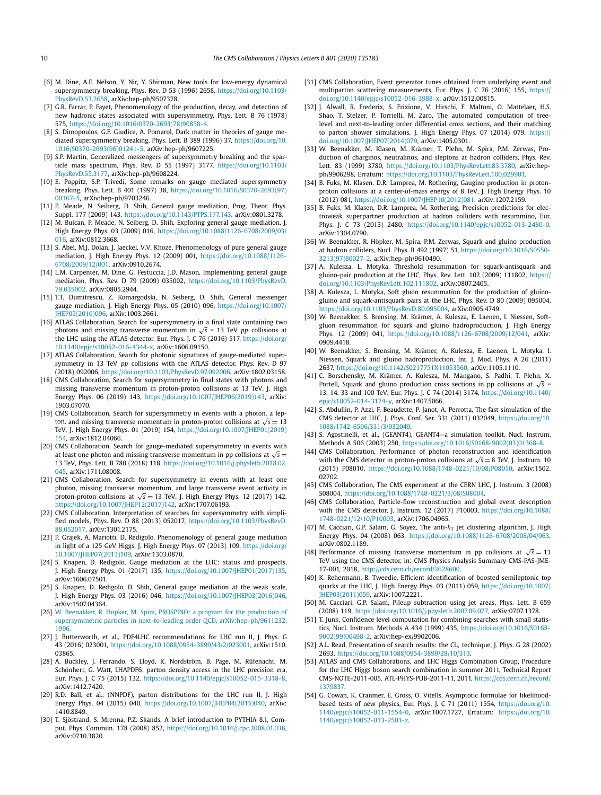- <span id="page-9-0"></span>[6] M. Dine, A.E. Nelson, Y. Nir, Y. Shirman, New tools for low-energy dynamical supersymmetry breaking, Phys. Rev. D 53 (1996) 2658, [https://doi.org/10.1103/](https://doi.org/10.1103/PhysRevD.53.2658) [PhysRevD.53.2658](https://doi.org/10.1103/PhysRevD.53.2658), arXiv:hep-ph/9507378.
- [7] G.R. Farrar, P. Fayet, Phenomenology of the production, decay, and detection of new hadronic states associated with supersymmetry, Phys. Lett. B 76 (1978) 575, [https://doi.org/10.1016/0370-2693\(78\)90858-4.](https://doi.org/10.1016/0370-2693(78)90858-4)
- [8] S. Dimopoulos, G.F. Giudice, A. Pomarol, Dark matter in theories of gauge mediated supersymmetry breaking, Phys. Lett. B 389 (1996) 37, [https://doi.org/10.](https://doi.org/10.1016/S0370-2693(96)01241-5) [1016/S0370-2693\(96\)01241-5,](https://doi.org/10.1016/S0370-2693(96)01241-5) arXiv:hep-ph/9607225.
- [9] S.P. Martin, Generalized messengers of supersymmetry breaking and the sparticle mass spectrum, Phys. Rev. D 55 (1997) 3177, [https://doi.org/10.1103/](https://doi.org/10.1103/PhysRevD.55.3177) [PhysRevD.55.3177](https://doi.org/10.1103/PhysRevD.55.3177), arXiv:hep-ph/9608224.
- [10] E. Poppitz, S.P. Trivedi, Some remarks on gauge mediated supersymmetry breaking, Phys. Lett. B 401 (1997) 38, [https://doi.org/10.1016/S0370-2693\(97\)](https://doi.org/10.1016/S0370-2693(97)00367-5) [00367-5,](https://doi.org/10.1016/S0370-2693(97)00367-5) arXiv:hep-ph/9703246.
- [11] P. Meade, N. Seiberg, D. Shih, General gauge mediation, Prog. Theor. Phys. Suppl. 177 (2009) 143, <https://doi.org/10.1143/PTPS.177.143>, arXiv:0801.3278.
- [12] M. Buican, P. Meade, N. Seiberg, D. Shih, Exploring general gauge mediation, J. High Energy Phys. 03 (2009) 016, [https://doi.org/10.1088/1126-6708/2009/03/](https://doi.org/10.1088/1126-6708/2009/03/016) [016,](https://doi.org/10.1088/1126-6708/2009/03/016) arXiv:0812.3668.
- [13] S. Abel, M.J. Dolan, J. Jaeckel, V.V. Khoze, Phenomenology of pure general gauge mediation, J. High Energy Phys. 12 (2009) 001, [https://doi.org/10.1088/1126-](https://doi.org/10.1088/1126-6708/2009/12/001) [6708/2009/12/001](https://doi.org/10.1088/1126-6708/2009/12/001), arXiv:0910.2674.
- [14] L.M. Carpenter, M. Dine, G. Festuccia, J.D. Mason, Implementing general gauge mediation, Phys. Rev. D 79 (2009) 035002, [https://doi.org/10.1103/PhysRevD.](https://doi.org/10.1103/PhysRevD.79.035002) [79.035002,](https://doi.org/10.1103/PhysRevD.79.035002) arXiv:0805.2944.
- [15] T.T. Dumitrescu, Z. Komargodski, N. Seiberg, D. Shih, General messenger gauge mediation, J. High Energy Phys. 05 (2010) 096, [https://doi.org/10.1007/](https://doi.org/10.1007/JHEP05(2010)096) [JHEP05\(2010\)096](https://doi.org/10.1007/JHEP05(2010)096), arXiv:1003.2661.
- [16] ATLAS Collaboration, Search for supersymmetry in a final state containing two photons and missing transverse momentum in  $\sqrt{s}$  = 13 TeV *pp* collisions at the LHC using the ATLAS detector, Eur. Phys. J. C 76 (2016) 517, [https://doi.org/](https://doi.org/10.1140/epjc/s10052-016-4344-x) [10.1140/epjc/s10052-016-4344-x,](https://doi.org/10.1140/epjc/s10052-016-4344-x) arXiv:1606.09150.
- [17] ATLAS Collaboration, Search for photonic signatures of gauge-mediated supersymmetry in 13 TeV *pp* collisions with the ATLAS detector, Phys. Rev. D 97 (2018) 092006, [https://doi.org/10.1103/PhysRevD.97.092006,](https://doi.org/10.1103/PhysRevD.97.092006) arXiv:1802.03158.
- [18] CMS Collaboration, Search for supersymmetry in final states with photons and missing transverse momentum in proton-proton collisions at 13 TeV, J. High Energy Phys. 06 (2019) 143, [https://doi.org/10.1007/JHEP06\(2019\)143](https://doi.org/10.1007/JHEP06(2019)143), arXiv: 1903.07070.
- [19] CMS Collaboration, Search for supersymmetry in events with a photon, a lepton, and missing transverse momentum in proton-proton collisions at  $\sqrt{s} = 13$ TeV, J. High Energy Phys. 01 (2019) 154, [https://doi.org/10.1007/JHEP01\(2019\)](https://doi.org/10.1007/JHEP01(2019)154) [154,](https://doi.org/10.1007/JHEP01(2019)154) arXiv:1812.04066.
- [20] CMS Collaboration, Search for gauge-mediated supersymmetry in events with at least one photon and missing transverse momentum in pp collisions at  $\sqrt{s}$  = 13 TeV, Phys. Lett. B 780 (2018) 118, [https://doi.org/10.1016/j.physletb.2018.02.](https://doi.org/10.1016/j.physletb.2018.02.045) [045,](https://doi.org/10.1016/j.physletb.2018.02.045) arXiv:1711.08008.
- [21] CMS Collaboration, Search for supersymmetry in events with at least one photon, missing transverse momentum, and large transverse event activity in proton-proton collisions at  $\sqrt{s}$  = 13 TeV, J. High Energy Phys. 12 (2017) 142, [https://doi.org/10.1007/JHEP12\(2017\)142,](https://doi.org/10.1007/JHEP12(2017)142) arXiv:1707.06193.
- [22] CMS Collaboration, Interpretation of searches for supersymmetry with simplified models, Phys. Rev. D 88 (2013) 052017, [https://doi.org/10.1103/PhysRevD.](https://doi.org/10.1103/PhysRevD.88.052017) [88.052017,](https://doi.org/10.1103/PhysRevD.88.052017) arXiv:1301.2175.
- [23] P. Grajek, A. Mariotti, D. Redigolo, Phenomenology of general gauge mediation in light of a 125 GeV Higgs, J. High Energy Phys. 07 (2013) 109, [https://doi.org/](https://doi.org/10.1007/JHEP07(2013)109) [10.1007/JHEP07\(2013\)109](https://doi.org/10.1007/JHEP07(2013)109), arXiv:1303.0870.
- [24] S. Knapen, D. Redigolo, Gauge mediation at the LHC: status and prospects, J. High Energy Phys. 01 (2017) 135, [https://doi.org/10.1007/JHEP01\(2017\)135](https://doi.org/10.1007/JHEP01(2017)135), arXiv:1606.07501.
- [25] S. Knapen, D. Redigolo, D. Shih, General gauge mediation at the weak scale, J. High Energy Phys. 03 (2016) 046, [https://doi.org/10.1007/JHEP03\(2016\)046](https://doi.org/10.1007/JHEP03(2016)046), arXiv:1507.04364.
- [26] W. Beenakker, R. Hopker, M. Spira, PROSPINO: a program for the [production](http://refhub.elsevier.com/S0370-2693(19)30905-0/bib4265656E616B6B65723A313939366564s1) of supersymmetric particles in next-to-leading order QCD, [arXiv:hep-ph/9611232,](http://refhub.elsevier.com/S0370-2693(19)30905-0/bib4265656E616B6B65723A313939366564s1) [1996.](http://refhub.elsevier.com/S0370-2693(19)30905-0/bib4265656E616B6B65723A313939366564s1)
- [27] J. Butterworth, et al., PDF4LHC recommendations for LHC run II, J. Phys. G 43 (2016) 023001, <https://doi.org/10.1088/0954-3899/43/2/023001>, arXiv:1510. 03865.
- [28] A. Buckley, J. Ferrando, S. Lloyd, K. Nordström, B. Page, M. Rüfenacht, M. Schönherr, G. Watt, LHAPDF6: parton density access in the LHC precision era, Eur. Phys. J. C 75 (2015) 132, <https://doi.org/10.1140/epjc/s10052-015-3318-8>, arXiv:1412.7420.
- [29] R.D. Ball, et al., (NNPDF), parton distributions for the LHC run II, J. High Energy Phys. 04 (2015) 040, [https://doi.org/10.1007/JHEP04\(2015\)040](https://doi.org/10.1007/JHEP04(2015)040), arXiv: 1410.8849.
- [30] T. Sjöstrand, S. Mrenna, P.Z. Skands, A brief introduction to PYTHIA 8.1, Comput. Phys. Commun. 178 (2008) 852, <https://doi.org/10.1016/j.cpc.2008.01.036>, arXiv:0710.3820.
- [31] CMS Collaboration, Event generator tunes obtained from underlying event and multiparton scattering measurements, Eur. Phys. J. C 76 (2016) 155, [https://](https://doi.org/10.1140/epjc/s10052-016-3988-x) [doi.org/10.1140/epjc/s10052-016-3988-x](https://doi.org/10.1140/epjc/s10052-016-3988-x), arXiv:1512.00815.
- [32] J. Alwall, R. Frederix, S. Frixione, V. Hirschi, F. Maltoni, O. Mattelaer, H.S. Shao, T. Stelzer, P. Torrielli, M. Zaro, The automated computation of treelevel and next-to-leading order differential cross sections, and their matching to parton shower simulations, J. High Energy Phys. 07 (2014) 079, [https://](https://doi.org/10.1007/JHEP07(2014)079) [doi.org/10.1007/JHEP07\(2014\)079,](https://doi.org/10.1007/JHEP07(2014)079) arXiv:1405.0301.
- [33] W. Beenakker, M. Klasen, M. Krämer, T. Plehn, M. Spira, P.M. Zerwas, Production of charginos, neutralinos, and sleptons at hadron colliders, Phys. Rev. Lett. 83 (1999) 3780, <https://doi.org/10.1103/PhysRevLett.83.3780>, arXiv:hepph/9906298, Erratum: <https://doi.org/10.1103/PhysRevLett.100.029901>.
- [34] B. Fuks, M. Klasen, D.R. Lamprea, M. Rothering, Gaugino production in protonproton collisions at a center-of-mass energy of 8 TeV, J. High Energy Phys. 10 (2012) 081, [https://doi.org/10.1007/JHEP10\(2012\)081,](https://doi.org/10.1007/JHEP10(2012)081) arXiv:1207.2159.
- [35] B. Fuks, M. Klasen, D.R. Lamprea, M. Rothering, Precision predictions for electroweak superpartner production at hadron colliders with resummino, Eur. Phys. J. C 73 (2013) 2480, <https://doi.org/10.1140/epjc/s10052-013-2480-0>, arXiv:1304.0790.
- [36] W. Beenakker, R. Höpker, M. Spira, P.M. Zerwas, Squark and gluino production at hadron colliders, Nucl. Phys. B 492 (1997) 51, [https://doi.org/10.1016/S0550-](https://doi.org/10.1016/S0550-3213(97)80027-2) [3213\(97\)80027-2,](https://doi.org/10.1016/S0550-3213(97)80027-2) arXiv:hep-ph/9610490.
- [37] A. Kulesza, L. Motyka, Threshold resummation for squark-antisquark and gluino-pair production at the LHC, Phys. Rev. Lett. 102 (2009) 111802, [https://](https://doi.org/10.1103/PhysRevLett.102.111802) [doi.org/10.1103/PhysRevLett.102.111802](https://doi.org/10.1103/PhysRevLett.102.111802), arXiv:0807.2405.
- [38] A. Kulesza, L. Motyka, Soft gluon resummation for the production of gluinogluino and squark-antisquark pairs at the LHC, Phys. Rev. D 80 (2009) 095004, [https://doi.org/10.1103/PhysRevD.80.095004,](https://doi.org/10.1103/PhysRevD.80.095004) arXiv:0905.4749.
- [39] W. Beenakker, S. Brensing, M. Krämer, A. Kulesza, E. Laenen, I. Niessen, Softgluon resummation for squark and gluino hadroproduction, J. High Energy Phys. 12 (2009) 041, <https://doi.org/10.1088/1126-6708/2009/12/041>, arXiv: 0909.4418.
- [40] W. Beenakker, S. Brensing, M. Krämer, A. Kulesza, E. Laenen, L. Motyka, I. Niessen, Squark and gluino hadroproduction, Int. J. Mod. Phys. A 26 (2011) 2637, [https://doi.org/10.1142/S0217751X11053560,](https://doi.org/10.1142/S0217751X11053560) arXiv:1105.1110.
- [41] C. Borschensky, M. Krämer, A. Kulesza, M. Mangano, S. Padhi, T. Plehn, X. Portell, Squark and gluino production cross sections in pp collisions at  $\sqrt{s}$  = 13, 14, 33 and 100 TeV, Eur. Phys. J. C 74 (2014) 3174, [https://doi.org/10.1140/](https://doi.org/10.1140/epjc/s10052-014-3174-y) [epjc/s10052-014-3174-y,](https://doi.org/10.1140/epjc/s10052-014-3174-y) arXiv:1407.5066.
- [42] S. Abdullin, P. Azzi, F. Beaudette, P. Janot, A. Perrotta, The fast simulation of the CMS detector at LHC, J. Phys. Conf. Ser. 331 (2011) 032049, [https://doi.org/10.](https://doi.org/10.1088/1742-6596/331/3/032049) [1088/1742-6596/331/3/032049](https://doi.org/10.1088/1742-6596/331/3/032049).
- [43] S. Agostinelli, et al., (GEANT4), GEANT4-a simulation toolkit, Nucl. Instrum. Methods A 506 (2003) 250, [https://doi.org/10.1016/S0168-9002\(03\)01368-8.](https://doi.org/10.1016/S0168-9002(03)01368-8)
- [44] CMS Collaboration, Performance of photon reconstruction and identification with the CMS detector in proton-proton collisions at  $\sqrt{s} = 8$  TeV, J. Instrum. 10 (2015) P08010, [https://doi.org/10.1088/1748-0221/10/08/P08010,](https://doi.org/10.1088/1748-0221/10/08/P08010) arXiv:1502. 02702.
- [45] CMS Collaboration, The CMS experiment at the CERN LHC, J. Instrum. 3 (2008) S08004, <https://doi.org/10.1088/1748-0221/3/08/S08004>.
- [46] CMS Collaboration, Particle-flow reconstruction and global event description with the CMS detector, J. Instrum. 12 (2017) P10003, [https://doi.org/10.1088/](https://doi.org/10.1088/1748-0221/12/10/P10003) [1748-0221/12/10/P10003](https://doi.org/10.1088/1748-0221/12/10/P10003), arXiv:1706.04965.
- [47] M. Cacciari, G.P. Salam, G. Soyez, The anti- $k<sub>T</sub>$  jet clustering algorithm, J. High Energy Phys. 04 (2008) 063, <https://doi.org/10.1088/1126-6708/2008/04/063>, arXiv:0802.1189.
- [48] Performance of missing transverse momentum in pp collisions at  $\sqrt{s} = 13$ TeV using the CMS detector, in: CMS Physics Analysis Summary CMS-PAS-JME-17-001, 2018, [http://cds.cern.ch/record/2628600.](http://cds.cern.ch/record/2628600)
- [49] K. Rehermann, B. Tweedie, Efficient identification of boosted semileptonic top quarks at the LHC, J. High Energy Phys. 03 (2011) 059, [https://doi.org/10.1007/](https://doi.org/10.1007/JHEP03(2011)059) [JHEP03\(2011\)059](https://doi.org/10.1007/JHEP03(2011)059), arXiv:1007.2221.
- [50] M. Cacciari, G.P. Salam, Pileup subtraction using jet areas, Phys. Lett. B 659 (2008) 119, [https://doi.org/10.1016/j.physletb.2007.09.077,](https://doi.org/10.1016/j.physletb.2007.09.077) arXiv:0707.1378.
- [51] T. Junk, Confidence level computation for combining searches with small statistics, Nucl. Instrum. Methods A 434 (1999) 435, [https://doi.org/10.1016/S0168-](https://doi.org/10.1016/S0168-9002(99)00498-2) [9002\(99\)00498-2,](https://doi.org/10.1016/S0168-9002(99)00498-2) arXiv:hep-ex/9902006.
- [52] A.L. Read, Presentation of search results: the CL<sub>s</sub> technique, J. Phys. G 28 (2002) 2693, <https://doi.org/10.1088/0954-3899/28/10/313>.
- [53] ATLAS and CMS Collaborations, and LHC Higgs Combination Group, Procedure for the LHC Higgs boson search combination in summer 2011, Technical Report CMS-NOTE-2011-005. ATL-PHYS-PUB-2011-11, 2011, [https://cds.cern.ch/record/](https://cds.cern.ch/record/1379837) [1379837](https://cds.cern.ch/record/1379837).
- [54] G. Cowan, K. Cranmer, E. Gross, O. Vitells, Asymptotic formulae for likelihoodbased tests of new physics, Eur. Phys. J. C 71 (2011) 1554, [https://doi.org/10.](https://doi.org/10.1140/epjc/s10052-011-1554-0) [1140/epjc/s10052-011-1554-0,](https://doi.org/10.1140/epjc/s10052-011-1554-0) arXiv:1007.1727, Erratum: [https://doi.org/10.](https://doi.org/10.1140/epjc/s10052-013-2501-z) [1140/epjc/s10052-013-2501-z](https://doi.org/10.1140/epjc/s10052-013-2501-z).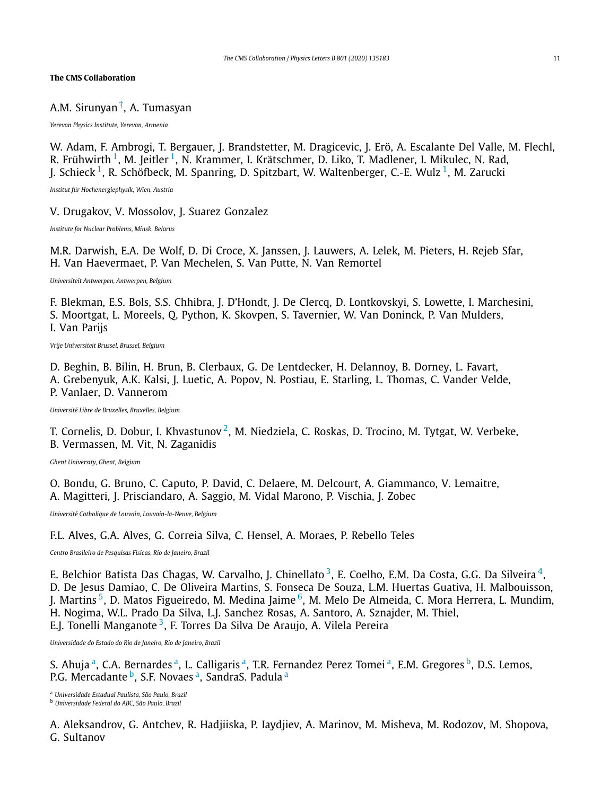#### <span id="page-10-0"></span>**The CMS Collaboration**

## A.M. Sirunyan<sup>†</sup>, A. Tumasyan

*Yerevan Physics Institute, Yerevan, Armenia*

W. Adam, F. Ambrogi, T. Bergauer, J. Brandstetter, M. Dragicevic, J. Erö, A. Escalante Del Valle, M. Flechl, R. Frühwirth <sup>1</sup>, M. Jeitler <sup>1</sup>, N. Krammer, I. Krätschmer, D. Liko, T. Madlener, I. Mikulec, N. Rad, J. Schieck <sup>1</sup>, R. Schöfbeck, M. Spanring, D. Spitzbart, W. Waltenberger, C.-E. Wulz <sup>1</sup>, M. Zarucki

*Institut für Hochenergiephysik, Wien, Austria*

V. Drugakov, V. Mossolov, J. Suarez Gonzalez

*Institute for Nuclear Problems, Minsk, Belarus*

M.R. Darwish, E.A. De Wolf, D. Di Croce, X. Janssen, J. Lauwers, A. Lelek, M. Pieters, H. Rejeb Sfar, H. Van Haevermaet, P. Van Mechelen, S. Van Putte, N. Van Remortel

*Universiteit Antwerpen, Antwerpen, Belgium*

F. Blekman, E.S. Bols, S.S. Chhibra, J. D'Hondt, J. De Clercq, D. Lontkovskyi, S. Lowette, I. Marchesini, S. Moortgat, L. Moreels, Q. Python, K. Skovpen, S. Tavernier, W. Van Doninck, P. Van Mulders, I. Van Parijs

*Vrije Universiteit Brussel, Brussel, Belgium*

D. Beghin, B. Bilin, H. Brun, B. Clerbaux, G. De Lentdecker, H. Delannoy, B. Dorney, L. Favart, A. Grebenyuk, A.K. Kalsi, J. Luetic, A. Popov, N. Postiau, E. Starling, L. Thomas, C. Vander Velde, P. Vanlaer, D. Vannerom

*Université Libre de Bruxelles, Bruxelles, Belgium*

T. Cornelis, D. Dobur, I. Khvastunov<sup>2</sup>, M. Niedziela, C. Roskas, D. Trocino, M. Tytgat, W. Verbeke, B. Vermassen, M. Vit, N. Zaganidis

*Ghent University, Ghent, Belgium*

O. Bondu, G. Bruno, C. Caputo, P. David, C. Delaere, M. Delcourt, A. Giammanco, V. Lemaitre, A. Magitteri, J. Prisciandaro, A. Saggio, M. Vidal Marono, P. Vischia, J. Zobec

*Université Catholique de Louvain, Louvain-la-Neuve, Belgium*

F.L. Alves, G.A. Alves, G. Correia Silva, C. Hensel, A. Moraes, P. Rebello Teles

*Centro Brasileiro de Pesquisas Fisicas, Rio de Janeiro, Brazil*

E. Belchior Batista Das Chagas, W. Carvalho, J. Chinellato<sup>[3](#page-25-0)</sup>, E. Coelho, E.M. Da Costa, G.G. Da Silveira<sup>4</sup>, D. De Jesus Damiao, C. De Oliveira Martins, S. Fonseca De Souza, L.M. Huertas Guativa, H. Malbouisson, J. Martins<sup>5</sup>, D. Matos Figueiredo, M. Medina Jaime<sup>6</sup>, M. Melo De Almeida, C. Mora Herrera, L. Mundim, H. Nogima, W.L. Prado Da Silva, L.J. Sanchez Rosas, A. Santoro, A. Sznajder, M. Thiel, E.J. Tonelli Manganote<sup>3</sup>, F. Torres Da Silva De Araujo, A. Vilela Pereira

*Universidade do Estado do Rio de Janeiro, Rio de Janeiro, Brazil*

S. Ahuja<sup>a</sup>, C.A. Bernardes<sup>a</sup>, L. Calligaris<sup>a</sup>, T.R. Fernandez Perez Tomei<sup>a</sup>, E.M. Gregores<sup>b</sup>, D.S. Lemos, P.G. Mercadante <sup>b</sup>, S.F. Novaes <sup>a</sup>, SandraS. Padula <sup>a</sup>

<sup>a</sup> *Universidade Estadual Paulista, São Paulo, Brazil*

<sup>b</sup> *Universidade Federal do ABC, São Paulo, Brazil*

A. Aleksandrov, G. Antchev, R. Hadjiiska, P. Iaydjiev, A. Marinov, M. Misheva, M. Rodozov, M. Shopova, G. Sultanov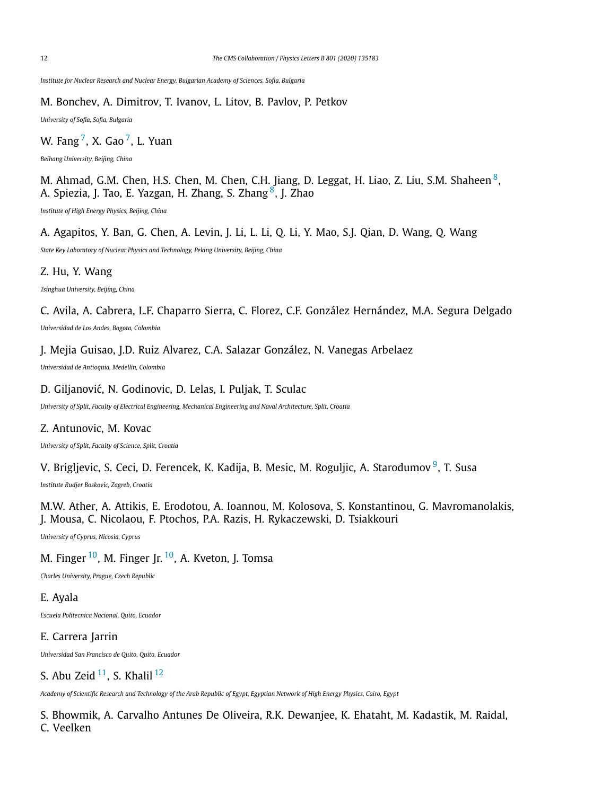*Institute for Nuclear Research and Nuclear Energy, Bulgarian Academy of Sciences, Sofia, Bulgaria*

### M. Bonchev, A. Dimitrov, T. Ivanov, L. Litov, B. Pavlov, P. Petkov

*University of Sofia, Sofia, Bulgaria*

## W. Fang  $^7$ , X. Gao  $^7$ , L. Yuan

*Beihang University, Beijing, China*

## M. Ahmad, G.M. Chen, H.S. Chen, M. Chen, C.H. Jiang, D. Leggat, H. Liao, Z. Liu, S.M. Shaheen [8,](#page-25-0) A. Spiezia, J. Tao, E. Yazgan, H. Zhang, S. Zhang<sup>8</sup>, J. Zhao

*Institute of High Energy Physics, Beijing, China*

#### A. Agapitos, Y. Ban, G. Chen, A. Levin, J. Li, L. Li, Q. Li, Y. Mao, S.J. Qian, D. Wang, Q. Wang

*State Key Laboratory of Nuclear Physics and Technology, Peking University, Beijing, China*

#### Z. Hu, Y. Wang

*Tsinghua University, Beijing, China*

## C. Avila, A. Cabrera, L.F. Chaparro Sierra, C. Florez, C.F. González Hernández, M.A. Segura Delgado *Universidad de Los Andes, Bogota, Colombia*

## J. Mejia Guisao, J.D. Ruiz Alvarez, C.A. Salazar González, N. Vanegas Arbelaez

*Universidad de Antioquia, Medellin, Colombia*

#### D. Giljanović, N. Godinovic, D. Lelas, I. Puljak, T. Sculac

*University of Split, Faculty of Electrical Engineering, Mechanical Engineering and Naval Architecture, Split, Croatia*

#### Z. Antunovic, M. Kovac

*University of Split, Faculty of Science, Split, Croatia*

## V. Brigljevic, S. Ceci, D. Ferencek, K. Kadija, B. Mesic, M. Roguljic, A. Starodumov<sup>9</sup>, T. Susa

*Institute Rudjer Boskovic, Zagreb, Croatia*

M.W. Ather, A. Attikis, E. Erodotou, A. Ioannou, M. Kolosova, S. Konstantinou, G. Mavromanolakis, J. Mousa, C. Nicolaou, F. Ptochos, P.A. Razis, H. Rykaczewski, D. Tsiakkouri

*University of Cyprus, Nicosia, Cyprus*

## M. Finger  $10$ , M. Finger Jr.  $10$ , A. Kveton, J. Tomsa

*Charles University, Prague, Czech Republic*

## E. Ayala

*Escuela Politecnica Nacional, Quito, Ecuador*

## E. Carrera Jarrin

*Universidad San Francisco de Quito, Quito, Ecuador*

## S. Abu Zeid  $11$ , S. Khalil  $12$

Academy of Scientific Research and Technology of the Arab Republic of Egypt, Egyptian Network of High Energy Physics, Cairo, Egypt

S. Bhowmik, A. Carvalho Antunes De Oliveira, R.K. Dewanjee, K. Ehataht, M. Kadastik, M. Raidal, C. Veelken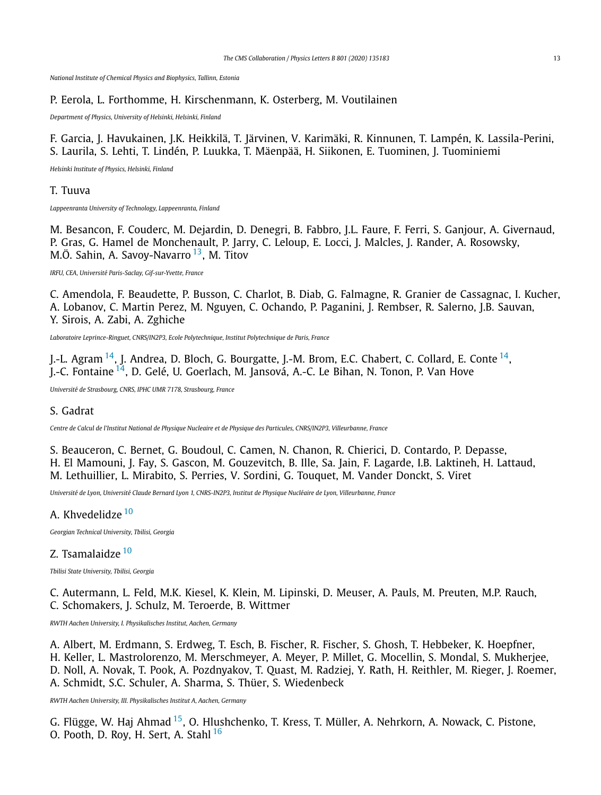*National Institute of Chemical Physics and Biophysics, Tallinn, Estonia*

P. Eerola, L. Forthomme, H. Kirschenmann, K. Osterberg, M. Voutilainen

*Department of Physics, University of Helsinki, Helsinki, Finland*

F. Garcia, J. Havukainen, J.K. Heikkilä, T. Järvinen, V. Karimäki, R. Kinnunen, T. Lampén, K. Lassila-Perini, S. Laurila, S. Lehti, T. Lindén, P. Luukka, T. Mäenpää, H. Siikonen, E. Tuominen, J. Tuominiemi

*Helsinki Institute of Physics, Helsinki, Finland*

#### T. Tuuva

*Lappeenranta University of Technology, Lappeenranta, Finland*

M. Besancon, F. Couderc, M. Dejardin, D. Denegri, B. Fabbro, J.L. Faure, F. Ferri, S. Ganjour, A. Givernaud, P. Gras, G. Hamel de Monchenault, P. Jarry, C. Leloup, E. Locci, J. Malcles, J. Rander, A. Rosowsky, M.Ö. Sahin, A. Savoy-Navarro<sup>13</sup>, M. Titov

*IRFU, CEA, Université Paris-Saclay, Gif-sur-Yvette, France*

C. Amendola, F. Beaudette, P. Busson, C. Charlot, B. Diab, G. Falmagne, R. Granier de Cassagnac, I. Kucher, A. Lobanov, C. Martin Perez, M. Nguyen, C. Ochando, P. Paganini, J. Rembser, R. Salerno, J.B. Sauvan, Y. Sirois, A. Zabi, A. Zghiche

*Laboratoire Leprince-Ringuet, CNRS/IN2P3, Ecole Polytechnique, Institut Polytechnique de Paris, France*

J.-L. Agram  $^{14}$ , J. Andrea, D. Bloch, G. Bourgatte, J.-M. Brom, E.C. Chabert, C. Collard, E. Conte  $^{14}$ , J.-C. Fontaine <sup>14</sup>, D. Gelé, U. Goerlach, M. Jansová, A.-C. Le Bihan, N. Tonon, P. Van Hove

*Université de Strasbourg, CNRS, IPHC UMR 7178, Strasbourg, France*

### S. Gadrat

Centre de Calcul de l'Institut National de Physique Nucleaire et de Physique des Particules, CNRS/IN2P3, Villeurbanne, France

S. Beauceron, C. Bernet, G. Boudoul, C. Camen, N. Chanon, R. Chierici, D. Contardo, P. Depasse, H. El Mamouni, J. Fay, S. Gascon, M. Gouzevitch, B. Ille, Sa. Jain, F. Lagarde, I.B. Laktineh, H. Lattaud, M. Lethuillier, L. Mirabito, S. Perries, V. Sordini, G. Touquet, M. Vander Donckt, S. Viret

Université de Lyon, Université Claude Bernard Lyon 1, CNRS-IN2P3, Institut de Physique Nucléaire de Lyon, Villeurbanne, France

## A. Khvedelidze [10](#page-25-0)

*Georgian Technical University, Tbilisi, Georgia*

## Z. Tsamalaidze [10](#page-25-0)

*Tbilisi State University, Tbilisi, Georgia*

C. Autermann, L. Feld, M.K. Kiesel, K. Klein, M. Lipinski, D. Meuser, A. Pauls, M. Preuten, M.P. Rauch, C. Schomakers, J. Schulz, M. Teroerde, B. Wittmer

*RWTH Aachen University, I. Physikalisches Institut, Aachen, Germany*

A. Albert, M. Erdmann, S. Erdweg, T. Esch, B. Fischer, R. Fischer, S. Ghosh, T. Hebbeker, K. Hoepfner, H. Keller, L. Mastrolorenzo, M. Merschmeyer, A. Meyer, P. Millet, G. Mocellin, S. Mondal, S. Mukherjee, D. Noll, A. Novak, T. Pook, A. Pozdnyakov, T. Quast, M. Radziej, Y. Rath, H. Reithler, M. Rieger, J. Roemer, A. Schmidt, S.C. Schuler, A. Sharma, S. Thüer, S. Wiedenbeck

*RWTH Aachen University, III. Physikalisches Institut A, Aachen, Germany*

G. Flügge, W. Haj Ahmad [15,](#page-25-0) O. Hlushchenko, T. Kress, T. Müller, A. Nehrkorn, A. Nowack, C. Pistone, O. Pooth, D. Roy, H. Sert, A. Stahl [16](#page-25-0)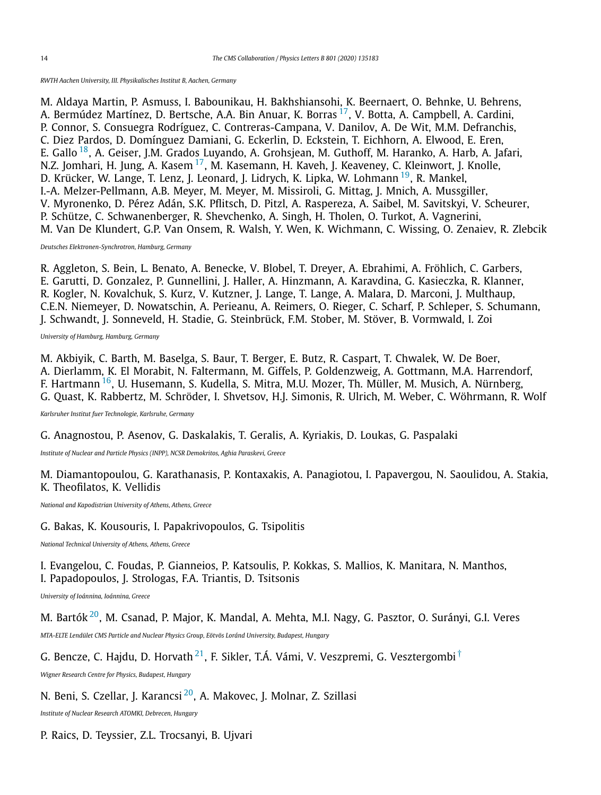*RWTH Aachen University, III. Physikalisches Institut B, Aachen, Germany*

M. Aldaya Martin, P. Asmuss, I. Babounikau, H. Bakhshiansohi, K. Beernaert, O. Behnke, U. Behrens, A. Bermúdez Martínez, D. Bertsche, A.A. Bin Anuar, K. Borras [17,](#page-25-0) V. Botta, A. Campbell, A. Cardini, P. Connor, S. Consuegra Rodríguez, C. Contreras-Campana, V. Danilov, A. De Wit, M.M. Defranchis, C. Diez Pardos, D. Domínguez Damiani, G. Eckerlin, D. Eckstein, T. Eichhorn, A. Elwood, E. Eren, E. Gallo [18,](#page-25-0) A. Geiser, J.M. Grados Luyando, A. Grohsjean, M. Guthoff, M. Haranko, A. Harb, A. Jafari, N.Z. Jomhari, H. Jung, A. Kasem [17,](#page-25-0) M. Kasemann, H. Kaveh, J. Keaveney, C. Kleinwort, J. Knolle, D. Krücker, W. Lange, T. Lenz, J. Leonard, J. Lidrych, K. Lipka, W. Lohmann<sup>19</sup>, R. Mankel, I.-A. Melzer-Pellmann, A.B. Meyer, M. Meyer, M. Missiroli, G. Mittag, J. Mnich, A. Mussgiller, V. Myronenko, D. Pérez Adán, S.K. Pflitsch, D. Pitzl, A. Raspereza, A. Saibel, M. Savitskyi, V. Scheurer, P. Schütze, C. Schwanenberger, R. Shevchenko, A. Singh, H. Tholen, O. Turkot, A. Vagnerini, M. Van De Klundert, G.P. Van Onsem, R. Walsh, Y. Wen, K. Wichmann, C. Wissing, O. Zenaiev, R. Zlebcik

*Deutsches Elektronen-Synchrotron, Hamburg, Germany*

R. Aggleton, S. Bein, L. Benato, A. Benecke, V. Blobel, T. Dreyer, A. Ebrahimi, A. Fröhlich, C. Garbers, E. Garutti, D. Gonzalez, P. Gunnellini, J. Haller, A. Hinzmann, A. Karavdina, G. Kasieczka, R. Klanner, R. Kogler, N. Kovalchuk, S. Kurz, V. Kutzner, J. Lange, T. Lange, A. Malara, D. Marconi, J. Multhaup, C.E.N. Niemeyer, D. Nowatschin, A. Perieanu, A. Reimers, O. Rieger, C. Scharf, P. Schleper, S. Schumann, J. Schwandt, J. Sonneveld, H. Stadie, G. Steinbrück, F.M. Stober, M. Stöver, B. Vormwald, I. Zoi

*University of Hamburg, Hamburg, Germany*

M. Akbiyik, C. Barth, M. Baselga, S. Baur, T. Berger, E. Butz, R. Caspart, T. Chwalek, W. De Boer, A. Dierlamm, K. El Morabit, N. Faltermann, M. Giffels, P. Goldenzweig, A. Gottmann, M.A. Harrendorf, F. Hartmann <sup>16</sup>, U. Husemann, S. Kudella, S. Mitra, M.U. Mozer, Th. Müller, M. Musich, A. Nürnberg, G. Quast, K. Rabbertz, M. Schröder, I. Shvetsov, H.J. Simonis, R. Ulrich, M. Weber, C. Wöhrmann, R. Wolf

*Karlsruher Institut fuer Technologie, Karlsruhe, Germany*

G. Anagnostou, P. Asenov, G. Daskalakis, T. Geralis, A. Kyriakis, D. Loukas, G. Paspalaki

*Institute of Nuclear and Particle Physics (INPP), NCSR Demokritos, Aghia Paraskevi, Greece*

M. Diamantopoulou, G. Karathanasis, P. Kontaxakis, A. Panagiotou, I. Papavergou, N. Saoulidou, A. Stakia, K. Theofilatos, K. Vellidis

*National and Kapodistrian University of Athens, Athens, Greece*

### G. Bakas, K. Kousouris, I. Papakrivopoulos, G. Tsipolitis

*National Technical University of Athens, Athens, Greece*

I. Evangelou, C. Foudas, P. Gianneios, P. Katsoulis, P. Kokkas, S. Mallios, K. Manitara, N. Manthos, I. Papadopoulos, J. Strologas, F.A. Triantis, D. Tsitsonis

*University of Ioánnina, Ioánnina, Greece*

M. Bartók<sup>20</sup>, M. Csanad, P. Major, K. Mandal, A. Mehta, M.I. Nagy, G. Pasztor, O. Surányi, G.I. Veres

*MTA-ELTE Lendület CMS Particle and Nuclear Physics Group, Eötvös Loránd University, Budapest, Hungary*

G. Bencze, C. Hajdu, D. Horvath<sup>21</sup>, F. Sikler, T.Á. Vámi, V. Veszpremi, G. Vesztergombi<sup>[†](#page-25-0)</sup>

*Wigner Research Centre for Physics, Budapest, Hungary*

N. Beni, S. Czellar, J. Karancsi [20,](#page-25-0) A. Makovec, J. Molnar, Z. Szillasi

*Institute of Nuclear Research ATOMKI, Debrecen, Hungary*

P. Raics, D. Teyssier, Z.L. Trocsanyi, B. Ujvari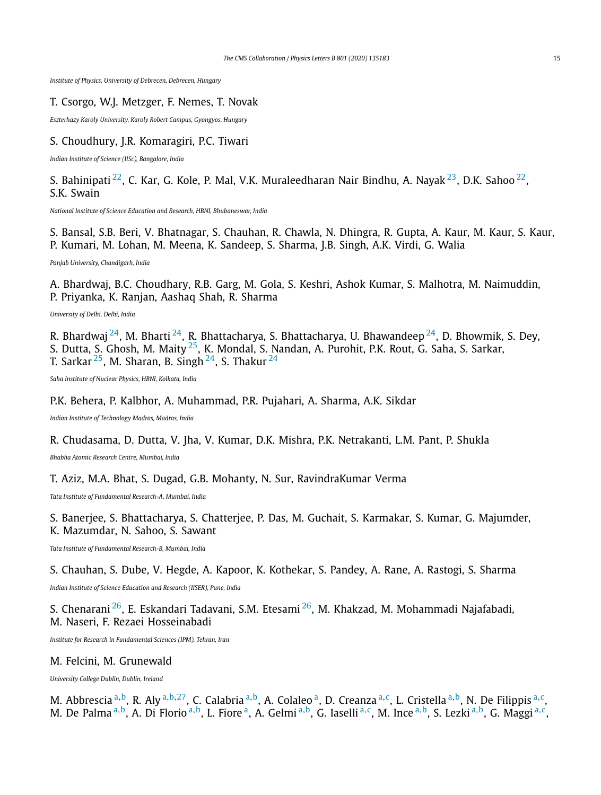*Institute of Physics, University of Debrecen, Debrecen, Hungary*

#### T. Csorgo, W.J. Metzger, F. Nemes, T. Novak

*Eszterhazy Karoly University, Karoly Robert Campus, Gyongyos, Hungary*

#### S. Choudhury, J.R. Komaragiri, P.C. Tiwari

*Indian Institute of Science (IISc), Bangalore, India*

S. Bahinipati<sup>[22](#page-25-0)</sup>, C. Kar, G. Kole, P. Mal, V.K. Muraleedharan Nair Bindhu, A. Navak<sup>[23](#page-25-0)</sup>. D.K. Sahoo<sup>22</sup>. S.K. Swain

*National Institute of Science Education and Research, HBNI, Bhubaneswar, India*

S. Bansal, S.B. Beri, V. Bhatnagar, S. Chauhan, R. Chawla, N. Dhingra, R. Gupta, A. Kaur, M. Kaur, S. Kaur, P. Kumari, M. Lohan, M. Meena, K. Sandeep, S. Sharma, J.B. Singh, A.K. Virdi, G. Walia

*Panjab University, Chandigarh, India*

A. Bhardwaj, B.C. Choudhary, R.B. Garg, M. Gola, S. Keshri, Ashok Kumar, S. Malhotra, M. Naimuddin, P. Priyanka, K. Ranjan, Aashaq Shah, R. Sharma

*University of Delhi, Delhi, India*

R. Bhardwaj  $^{24}$  $^{24}$  $^{24}$ , M. Bharti  $^{24}$ , R. Bhattacharya, S. Bhattacharya, U. Bhawandeep  $^{24}$ , D. Bhowmik, S. Dey, S. Dutta, S. Ghosh, M. Maity [25,](#page-25-0) K. Mondal, S. Nandan, A. Purohit, P.K. Rout, G. Saha, S. Sarkar, T. Sarkar  $^{25}$ , M. Sharan, B. Singh  $^{24}$  $^{24}$  $^{24}$ , S. Thakur  $^{24}$ 

*Saha Institute of Nuclear Physics, HBNI, Kolkata, India*

P.K. Behera, P. Kalbhor, A. Muhammad, P.R. Pujahari, A. Sharma, A.K. Sikdar

*Indian Institute of Technology Madras, Madras, India*

R. Chudasama, D. Dutta, V. Jha, V. Kumar, D.K. Mishra, P.K. Netrakanti, L.M. Pant, P. Shukla

*Bhabha Atomic Research Centre, Mumbai, India*

#### T. Aziz, M.A. Bhat, S. Dugad, G.B. Mohanty, N. Sur, RavindraKumar Verma

*Tata Institute of Fundamental Research-A, Mumbai, India*

S. Banerjee, S. Bhattacharya, S. Chatterjee, P. Das, M. Guchait, S. Karmakar, S. Kumar, G. Majumder, K. Mazumdar, N. Sahoo, S. Sawant

*Tata Institute of Fundamental Research-B, Mumbai, India*

S. Chauhan, S. Dube, V. Hegde, A. Kapoor, K. Kothekar, S. Pandey, A. Rane, A. Rastogi, S. Sharma

*Indian Institute of Science Education and Research (IISER), Pune, India*

S. Chenarani [26,](#page-25-0) E. Eskandari Tadavani, S.M. Etesami [26,](#page-25-0) M. Khakzad, M. Mohammadi Najafabadi, M. Naseri, F. Rezaei Hosseinabadi

*Institute for Research in Fundamental Sciences (IPM), Tehran, Iran*

#### M. Felcini, M. Grunewald

*University College Dublin, Dublin, Ireland*

M. Abbrescia [a](#page-15-0)*,*[b,](#page-15-0) R. Aly [a](#page-15-0)*,*[b](#page-15-0)*,*[27,](#page-25-0) C. Calabria [a](#page-15-0)*,*[b,](#page-15-0) A. Colaleo [a,](#page-15-0) D. Creanza [a](#page-15-0)*,*[c,](#page-15-0) L. Cristella [a](#page-15-0)*,*[b,](#page-15-0) N. De Filippis [a](#page-15-0)*,*[c,](#page-15-0) M. De Palma [a](#page-15-0)*,*[b,](#page-15-0) A. Di Florio [a](#page-15-0)*,*[b,](#page-15-0) L. Fiore [a,](#page-15-0) A. Gelmi [a](#page-15-0)*,*[b](#page-15-0), G. Iaselli [a](#page-15-0)*,*[c](#page-15-0), M. Ince [a](#page-15-0)*,*[b,](#page-15-0) S. Lezki [a](#page-15-0)*,*[b,](#page-15-0) G. Maggi [a](#page-15-0)*,*[c,](#page-15-0)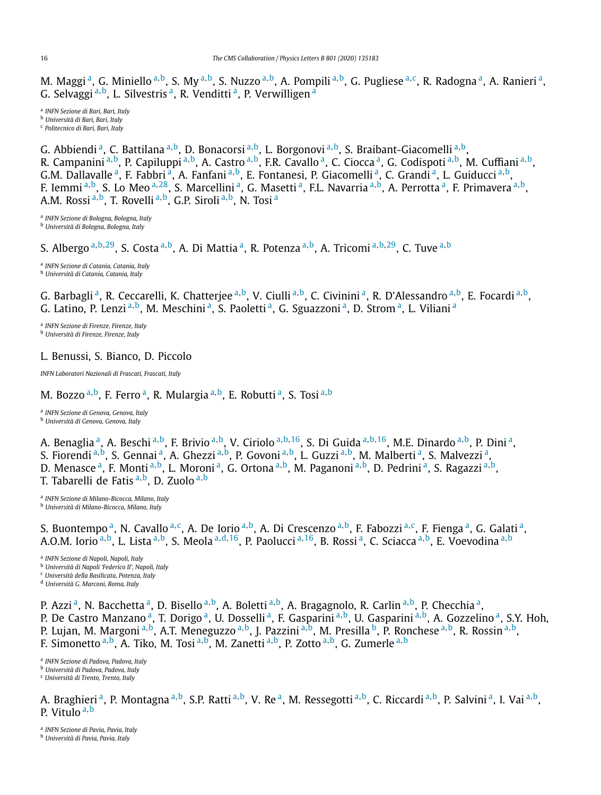<span id="page-15-0"></span>M. Maggi<sup>a</sup>, G. Miniello a<sup>,b</sup>, S. My a,b, S. Nuzzo a,b, A. Pompili a,b, G. Pugliese a,c, R. Radogna a, A. Ranieri a, G. Selvaggi<sup>a,b</sup>, L. Silvestris<sup>a</sup>, R. Venditti<sup>a</sup>, P. Verwilligen<sup>a</sup>

<sup>a</sup> *INFN Sezione di Bari, Bari, Italy* <sup>b</sup> *Università di Bari, Bari, Italy* <sup>c</sup> *Politecnico di Bari, Bari, Italy*

G. Abbiendi a, C. Battilana <sup>a</sup>*,*b, D. Bonacorsi <sup>a</sup>*,*b, L. Borgonovi <sup>a</sup>*,*b, S. Braibant-Giacomelli <sup>a</sup>*,*b, R. Campanini <sup>a</sup>*,*b, P. Capiluppi <sup>a</sup>*,*b, A. Castro <sup>a</sup>*,*b, F.R. Cavallo a, C. Ciocca a, G. Codispoti <sup>a</sup>*,*b, M. Cuffiani <sup>a</sup>*,*b, G.M. Dallavalle <sup>a</sup>, F. Fabbri <sup>a</sup>, A. Fanfani <sup>a,b</sup>, E. Fontanesi, P. Giacomelli <sup>a</sup>, C. Grandi <sup>a</sup>, L. Guiducci <sup>a,b</sup>, F. Iemmi <sup>a</sup>*,*b, S. Lo Meo <sup>a</sup>*,*[28](#page-25-0), S. Marcellini a, G. Masetti a, F.L. Navarria <sup>a</sup>*,*b, A. Perrotta a, F. Primavera <sup>a</sup>*,*b, A.M. Rossi <sup>a</sup>*,*b, T. Rovelli <sup>a</sup>*,*b, G.P. Siroli <sup>a</sup>*,*b, N. Tosi <sup>a</sup>

<sup>a</sup> *INFN Sezione di Bologna, Bologna, Italy* <sup>b</sup> *Università di Bologna, Bologna, Italy*

S. Albergo <sup>a</sup>*,*b*,*[29,](#page-25-0) S. Costa <sup>a</sup>*,*b, A. Di Mattia a, R. Potenza <sup>a</sup>*,*b, A. Tricomi <sup>a</sup>*,*b*,*[29,](#page-25-0) C. Tuve <sup>a</sup>*,*<sup>b</sup>

<sup>a</sup> *INFN Sezione di Catania, Catania, Italy*

<sup>b</sup> *Università di Catania, Catania, Italy*

G. Barbagli a, R. Ceccarelli, K. Chatterjee <sup>a</sup>*,*b, V. Ciulli <sup>a</sup>*,*b, C. Civinini a, R. D'Alessandro <sup>a</sup>*,*b, E. Focardi <sup>a</sup>*,*b, G. Latino, P. Lenzi a, b, M. Meschini <sup>a</sup>, S. Paoletti <sup>a</sup>, G. Sguazzoni <sup>a</sup>, D. Strom <sup>a</sup>, L. Viliani <sup>a</sup>

<sup>a</sup> *INFN Sezione di Firenze, Firenze, Italy* <sup>b</sup> *Università di Firenze, Firenze, Italy*

#### L. Benussi, S. Bianco, D. Piccolo

*INFN Laboratori Nazionali di Frascati, Frascati, Italy*

M. Bozzo <sup>a</sup>*,*b, F. Ferro a, R. Mulargia <sup>a</sup>*,*b, E. Robutti a, S. Tosi <sup>a</sup>*,*<sup>b</sup>

<sup>a</sup> *INFN Sezione di Genova, Genova, Italy* <sup>b</sup> *Università di Genova, Genova, Italy*

A. Benaglia a, A. Beschi <sup>a</sup>*,*b, F. Brivio <sup>a</sup>*,*b, V. Ciriolo <sup>a</sup>*,*b*,*[16,](#page-25-0) S. Di Guida <sup>a</sup>*,*b*,*[16,](#page-25-0) M.E. Dinardo <sup>a</sup>*,*b, P. Dini a, S. Fiorendi <sup>a</sup>*,*b, S. Gennai a, A. Ghezzi <sup>a</sup>*,*b, P. Govoni <sup>a</sup>*,*b, L. Guzzi <sup>a</sup>*,*b, M. Malberti a, S. Malvezzi a, D. Menasce a, F. Monti <sup>a</sup>*,*b, L. Moroni a, G. Ortona <sup>a</sup>*,*b, M. Paganoni <sup>a</sup>*,*b, D. Pedrini a, S. Ragazzi <sup>a</sup>*,*b,

T. Tabarelli de Fatis <sup>a</sup>*,*b, D. Zuolo <sup>a</sup>*,*<sup>b</sup>

<sup>a</sup> *INFN Sezione di Milano-Bicocca, Milano, Italy*

<sup>b</sup> *Università di Milano-Bicocca, Milano, Italy*

S. Buontempo <sup>a</sup>, N. Cavallo <sup>a, c</sup>, A. De Iorio <sup>a, b</sup>, A. Di Crescenzo <sup>a, b</sup>, F. Fabozzi <sup>a, c</sup>, F. Fienga <sup>a</sup>, G. Galati <sup>a</sup>, A.O.M. Iorio <sup>a</sup>*,*b, L. Lista <sup>a</sup>*,*b, S. Meola <sup>a</sup>*,*d*,*[16,](#page-25-0) P. Paolucci <sup>a</sup>*,*[16,](#page-25-0) B. Rossi a, C. Sciacca <sup>a</sup>*,*b, E. Voevodina <sup>a</sup>*,*<sup>b</sup>

<sup>a</sup> *INFN Sezione di Napoli, Napoli, Italy*

<sup>b</sup> *Università di Napoli 'Federico II', Napoli, Italy*

<sup>c</sup> *Università della Basilicata, Potenza, Italy*

<sup>d</sup> *Università G. Marconi, Roma, Italy*

P. Azzi a, N. Bacchetta a, D. Bisello <sup>a</sup>*,*b, A. Boletti <sup>a</sup>*,*b, A. Bragagnolo, R. Carlin <sup>a</sup>*,*b, P. Checchia a, P. De Castro Manzano<sup>a</sup>, T. Dorigo<sup>a</sup>, U. Dosselli<sup>a</sup>, F. Gasparini<sup>a,b</sup>, U. Gasparini<sup>a,b</sup>, A. Gozzelino<sup>a</sup>, S.Y. Hoh, P. Lujan, M. Margoni <sup>a</sup>*,*b, A.T. Meneguzzo <sup>a</sup>*,*b, J. Pazzini <sup>a</sup>*,*b, M. Presilla b, P. Ronchese <sup>a</sup>*,*b, R. Rossin <sup>a</sup>*,*b, F. Simonetto <sup>a</sup>*,*b, A. Tiko, M. Tosi <sup>a</sup>*,*b, M. Zanetti <sup>a</sup>*,*b, P. Zotto <sup>a</sup>*,*b, G. Zumerle <sup>a</sup>*,*<sup>b</sup>

<sup>a</sup> *INFN Sezione di Padova, Padova, Italy*

<sup>b</sup> *Università di Padova, Padova, Italy*

<sup>c</sup> *Università di Trento, Trento, Italy*

A. Braghieri a, P. Montagna <sup>a</sup>*,*b, S.P. Ratti <sup>a</sup>*,*b, V. Re a, M. Ressegotti <sup>a</sup>*,*b, C. Riccardi <sup>a</sup>*,*b, P. Salvini a, I. Vai <sup>a</sup>*,*b, P. Vitulo <sup>a</sup>*,*<sup>b</sup>

<sup>a</sup> *INFN Sezione di Pavia, Pavia, Italy*

<sup>b</sup> *Università di Pavia, Pavia, Italy*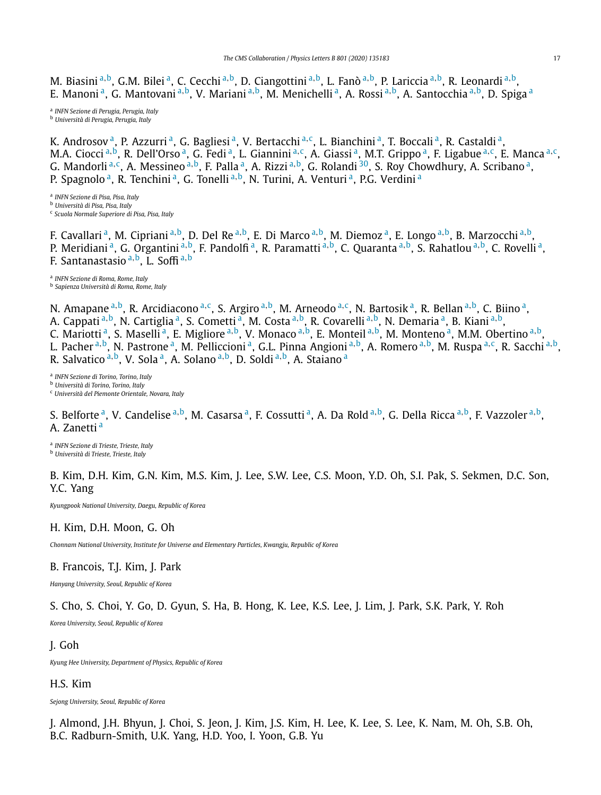M. Biasini <sup>a</sup>*,*b, G.M. Bilei a, C. Cecchi <sup>a</sup>*,*b, D. Ciangottini <sup>a</sup>*,*b, L. Fanò <sup>a</sup>*,*b, P. Lariccia <sup>a</sup>*,*b, R. Leonardi <sup>a</sup>*,*b, E. Manoni a, G. Mantovani <sup>a</sup>*,*b, V. Mariani <sup>a</sup>*,*b, M. Menichelli a, A. Rossi <sup>a</sup>*,*b, A. Santocchia <sup>a</sup>*,*b, D. Spiga <sup>a</sup>

<sup>a</sup> *INFN Sezione di Perugia, Perugia, Italy* <sup>b</sup> *Università di Perugia, Perugia, Italy*

K. Androsov<sup>a</sup>, P. Azzurri<sup>a</sup>, G. Bagliesi<sup>a</sup>, V. Bertacchi a, C. L. Bianchini<sup>a</sup>, T. Boccali<sup>a</sup>, R. Castaldi<sup>a</sup>, M.A. Ciocci a, b, R. Dell'Orso a, G. Fedi a, L. Giannini a,c, A. Giassi a, M.T. Grippo a, F. Ligabue a,c, E. Manca a,c, G. Mandorli <sup>a</sup>*,*c, A. Messineo <sup>a</sup>*,*b, F. Palla a, A. Rizzi <sup>a</sup>*,*b, G. Rolandi [30,](#page-25-0) S. Roy Chowdhury, A. Scribano a, P. Spagnolo<sup>a</sup>, R. Tenchini<sup>a</sup>, G. Tonelli<sup>a, b</sup>, N. Turini, A. Venturi<sup>a</sup>, P.G. Verdini<sup>a</sup>

<sup>a</sup> *INFN Sezione di Pisa, Pisa, Italy*

<sup>b</sup> *Università di Pisa, Pisa, Italy*

<sup>c</sup> *Scuola Normale Superiore di Pisa, Pisa, Italy*

F. Cavallari a, M. Cipriani <sup>a</sup>*,*b, D. Del Re <sup>a</sup>*,*b, E. Di Marco <sup>a</sup>*,*b, M. Diemoz a, E. Longo <sup>a</sup>*,*b, B. Marzocchi <sup>a</sup>*,*b, P. Meridiani a, G. Organtini <sup>a</sup>*,*b, F. Pandolfi a, R. Paramatti <sup>a</sup>*,*b, C. Quaranta <sup>a</sup>*,*b, S. Rahatlou <sup>a</sup>*,*b, C. Rovelli a, F. Santanastasio <sup>a</sup>*,*b, L. Soffi <sup>a</sup>*,*<sup>b</sup>

<sup>a</sup> *INFN Sezione di Roma, Rome, Italy*

<sup>b</sup> *Sapienza Università di Roma, Rome, Italy*

N. Amapane <sup>a</sup>*,*b, R. Arcidiacono <sup>a</sup>*,*c, S. Argiro <sup>a</sup>*,*b, M. Arneodo <sup>a</sup>*,*c, N. Bartosik a, R. Bellan <sup>a</sup>*,*b, C. Biino a, A. Cappati <sup>a</sup>*,*b, N. Cartiglia a, S. Cometti a, M. Costa <sup>a</sup>*,*b, R. Covarelli <sup>a</sup>*,*b, N. Demaria a, B. Kiani <sup>a</sup>*,*b, C. Mariotti <sup>a</sup>, S. Maselli <sup>a</sup>, E. Migliore <sup>a,b</sup>, V. Monaco <sup>a,b</sup>, E. Monteil <sup>a,b</sup>, M. Monteno <sup>a</sup>, M.M. Obertino <sup>a,b</sup>, L. Pacher <sup>a</sup>*,*b, N. Pastrone a, M. Pelliccioni a, G.L. Pinna Angioni <sup>a</sup>*,*b, A. Romero <sup>a</sup>*,*b, M. Ruspa <sup>a</sup>*,*c, R. Sacchi <sup>a</sup>*,*b, R. Salvatico <sup>a</sup>*,*b, V. Sola a, A. Solano <sup>a</sup>*,*b, D. Soldi <sup>a</sup>*,*b, A. Staiano <sup>a</sup>

<sup>a</sup> *INFN Sezione di Torino, Torino, Italy*

<sup>b</sup> *Università di Torino, Torino, Italy*

<sup>c</sup> *Università del Piemonte Orientale, Novara, Italy*

S. Belforte a, V. Candelise <sup>a</sup>*,*b, M. Casarsa a, F. Cossutti a, A. Da Rold <sup>a</sup>*,*b, G. Della Ricca <sup>a</sup>*,*b, F. Vazzoler <sup>a</sup>*,*b, A. Zanetti<sup>a</sup>

<sup>a</sup> *INFN Sezione di Trieste, Trieste, Italy* <sup>b</sup> *Università di Trieste, Trieste, Italy*

## B. Kim, D.H. Kim, G.N. Kim, M.S. Kim, J. Lee, S.W. Lee, C.S. Moon, Y.D. Oh, S.I. Pak, S. Sekmen, D.C. Son, Y.C. Yang

*Kyungpook National University, Daegu, Republic of Korea*

#### H. Kim, D.H. Moon, G. Oh

*Chonnam National University, Institute for Universe and Elementary Particles, Kwangju, Republic of Korea*

## B. Francois, T.J. Kim, J. Park

*Hanyang University, Seoul, Republic of Korea*

S. Cho, S. Choi, Y. Go, D. Gyun, S. Ha, B. Hong, K. Lee, K.S. Lee, J. Lim, J. Park, S.K. Park, Y. Roh

*Korea University, Seoul, Republic of Korea*

## J. Goh

*Kyung Hee University, Department of Physics, Republic of Korea*

## H.S. Kim

*Sejong University, Seoul, Republic of Korea*

J. Almond, J.H. Bhyun, J. Choi, S. Jeon, J. Kim, J.S. Kim, H. Lee, K. Lee, S. Lee, K. Nam, M. Oh, S.B. Oh, B.C. Radburn-Smith, U.K. Yang, H.D. Yoo, I. Yoon, G.B. Yu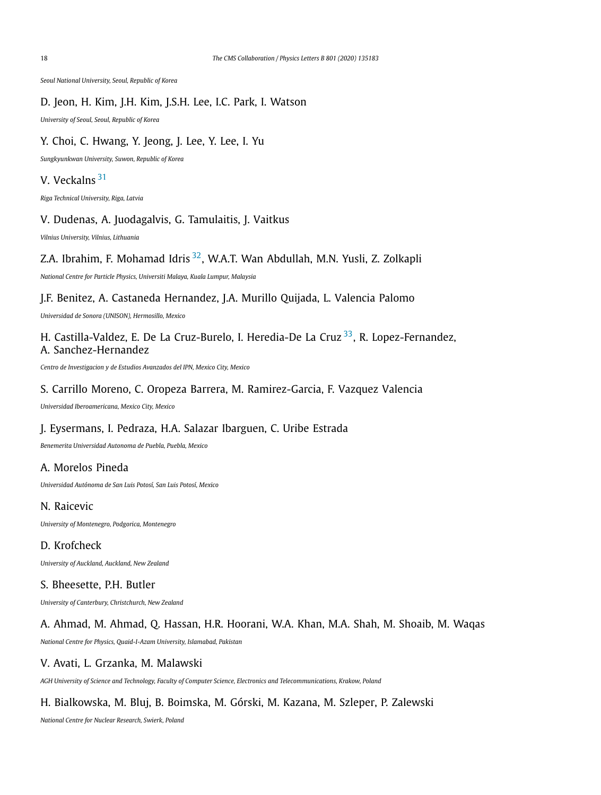*Seoul National University, Seoul, Republic of Korea*

### D. Jeon, H. Kim, J.H. Kim, J.S.H. Lee, I.C. Park, I. Watson

*University of Seoul, Seoul, Republic of Korea*

#### Y. Choi, C. Hwang, Y. Jeong, J. Lee, Y. Lee, I. Yu

*Sungkyunkwan University, Suwon, Republic of Korea*

### V. Veckalns<sup>[31](#page-25-0)</sup>

*Riga Technical University, Riga, Latvia*

#### V. Dudenas, A. Juodagalvis, G. Tamulaitis, J. Vaitkus

*Vilnius University, Vilnius, Lithuania*

## Z.A. Ibrahim, F. Mohamad Idris [32](#page-25-0), W.A.T. Wan Abdullah, M.N. Yusli, Z. Zolkapli

*National Centre for Particle Physics, Universiti Malaya, Kuala Lumpur, Malaysia*

### J.F. Benitez, A. Castaneda Hernandez, J.A. Murillo Quijada, L. Valencia Palomo

*Universidad de Sonora (UNISON), Hermosillo, Mexico*

## H. Castilla-Valdez, E. De La Cruz-Burelo, I. Heredia-De La Cruz<sup>33</sup>, R. Lopez-Fernandez, A. Sanchez-Hernandez

*Centro de Investigacion y de Estudios Avanzados del IPN, Mexico City, Mexico*

#### S. Carrillo Moreno, C. Oropeza Barrera, M. Ramirez-Garcia, F. Vazquez Valencia

*Universidad Iberoamericana, Mexico City, Mexico*

#### J. Eysermans, I. Pedraza, H.A. Salazar Ibarguen, C. Uribe Estrada

*Benemerita Universidad Autonoma de Puebla, Puebla, Mexico*

#### A. Morelos Pineda

*Universidad Autónoma de San Luis Potosí, San Luis Potosí, Mexico*

#### N. Raicevic

*University of Montenegro, Podgorica, Montenegro*

#### D. Krofcheck

*University of Auckland, Auckland, New Zealand*

#### S. Bheesette, P.H. Butler

*University of Canterbury, Christchurch, New Zealand*

#### A. Ahmad, M. Ahmad, Q. Hassan, H.R. Hoorani, W.A. Khan, M.A. Shah, M. Shoaib, M. Waqas

*National Centre for Physics, Quaid-I-Azam University, Islamabad, Pakistan*

#### V. Avati, L. Grzanka, M. Malawski

AGH University of Science and Technology, Faculty of Computer Science, Electronics and Telecommunications, Krakow, Poland

#### H. Bialkowska, M. Bluj, B. Boimska, M. Górski, M. Kazana, M. Szleper, P. Zalewski

*National Centre for Nuclear Research, Swierk, Poland*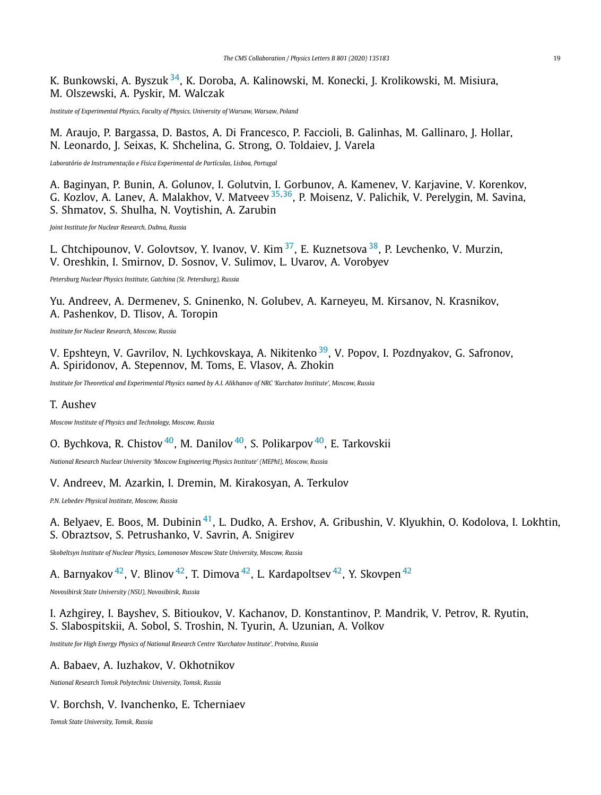K. Bunkowski, A. Byszuk [34,](#page-25-0) K. Doroba, A. Kalinowski, M. Konecki, J. Krolikowski, M. Misiura, M. Olszewski, A. Pyskir, M. Walczak

*Institute of Experimental Physics, Faculty of Physics, University of Warsaw, Warsaw, Poland*

M. Araujo, P. Bargassa, D. Bastos, A. Di Francesco, P. Faccioli, B. Galinhas, M. Gallinaro, J. Hollar, N. Leonardo, J. Seixas, K. Shchelina, G. Strong, O. Toldaiev, J. Varela

*Laboratório de Instrumentação e Física Experimental de Partículas, Lisboa, Portugal*

A. Baginyan, P. Bunin, A. Golunov, I. Golutvin, I. Gorbunov, A. Kamenev, V. Karjavine, V. Korenkov, G. Kozlov, A. Lanev, A. Malakhov, V. Matveev [35](#page-25-0)*,*[36,](#page-25-0) P. Moisenz, V. Palichik, V. Perelygin, M. Savina, S. Shmatov, S. Shulha, N. Voytishin, A. Zarubin

*Joint Institute for Nuclear Research, Dubna, Russia*

L. Chtchipounov, V. Golovtsov, Y. Ivanov, V. Kim<sup>37</sup>, E. Kuznetsova<sup>38</sup>, P. Levchenko, V. Murzin, V. Oreshkin, I. Smirnov, D. Sosnov, V. Sulimov, L. Uvarov, A. Vorobyev

*Petersburg Nuclear Physics Institute, Gatchina (St. Petersburg), Russia*

Yu. Andreev, A. Dermenev, S. Gninenko, N. Golubev, A. Karneyeu, M. Kirsanov, N. Krasnikov, A. Pashenkov, D. Tlisov, A. Toropin

*Institute for Nuclear Research, Moscow, Russia*

V. Epshteyn, V. Gavrilov, N. Lychkovskaya, A. Nikitenko <sup>39</sup>, V. Popov, I. Pozdnyakov, G. Safronov, A. Spiridonov, A. Stepennov, M. Toms, E. Vlasov, A. Zhokin

Institute for Theoretical and Experimental Physics named by A.I. Alikhanov of NRC 'Kurchatov Institute', Moscow, Russia

#### T. Aushev

*Moscow Institute of Physics and Technology, Moscow, Russia*

O. Bychkova, R. Chistov<sup>[40](#page-25-0)</sup>, M. Danilov<sup>40</sup>, S. Polikarpov<sup>40</sup>, E. Tarkovskii

*National Research Nuclear University 'Moscow Engineering Physics Institute' (MEPhI), Moscow, Russia*

V. Andreev, M. Azarkin, I. Dremin, M. Kirakosyan, A. Terkulov

*P.N. Lebedev Physical Institute, Moscow, Russia*

A. Belyaev, E. Boos, M. Dubinin [41,](#page-25-0) L. Dudko, A. Ershov, A. Gribushin, V. Klyukhin, O. Kodolova, I. Lokhtin, S. Obraztsov, S. Petrushanko, V. Savrin, A. Snigirev

*Skobeltsyn Institute of Nuclear Physics, Lomonosov Moscow State University, Moscow, Russia*

A. Barnyakov [42,](#page-25-0) V. Blinov [42,](#page-25-0) T. Dimova [42,](#page-25-0) L. Kardapoltsev [42,](#page-25-0) Y. Skovpen [42](#page-25-0)

*Novosibirsk State University (NSU), Novosibirsk, Russia*

I. Azhgirey, I. Bayshev, S. Bitioukov, V. Kachanov, D. Konstantinov, P. Mandrik, V. Petrov, R. Ryutin, S. Slabospitskii, A. Sobol, S. Troshin, N. Tyurin, A. Uzunian, A. Volkov

*Institute for High Energy Physics of National Research Centre 'Kurchatov Institute', Protvino, Russia*

#### A. Babaev, A. Iuzhakov, V. Okhotnikov

*National Research Tomsk Polytechnic University, Tomsk, Russia*

#### V. Borchsh, V. Ivanchenko, E. Tcherniaev

*Tomsk State University, Tomsk, Russia*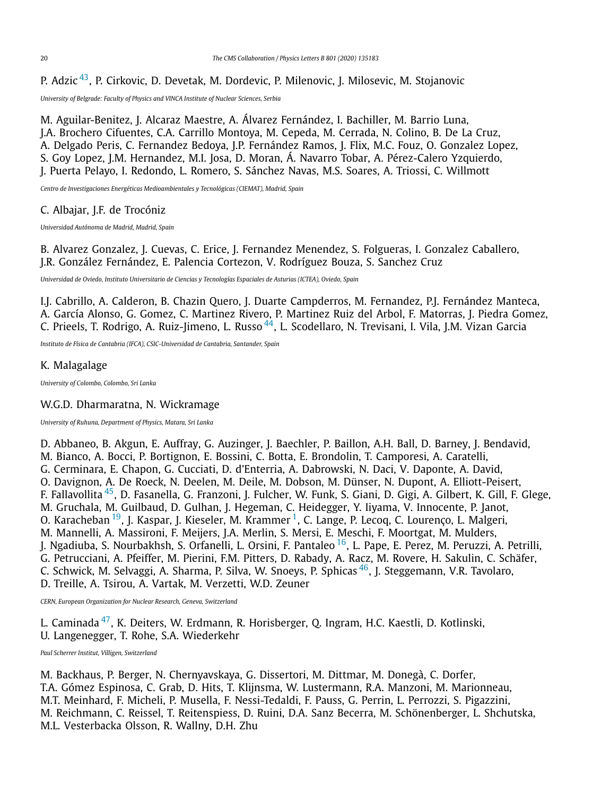## P. Adzic [43,](#page-25-0) P. Cirkovic, D. Devetak, M. Dordevic, P. Milenovic, J. Milosevic, M. Stojanovic

*University of Belgrade: Faculty of Physics and VINCA Institute of Nuclear Sciences, Serbia*

M. Aguilar-Benitez, J. Alcaraz Maestre, A. Álvarez Fernández, I. Bachiller, M. Barrio Luna, J.A. Brochero Cifuentes, C.A. Carrillo Montoya, M. Cepeda, M. Cerrada, N. Colino, B. De La Cruz, A. Delgado Peris, C. Fernandez Bedoya, J.P. Fernández Ramos, J. Flix, M.C. Fouz, O. Gonzalez Lopez, S. Goy Lopez, J.M. Hernandez, M.I. Josa, D. Moran, Á. Navarro Tobar, A. Pérez-Calero Yzquierdo, J. Puerta Pelayo, I. Redondo, L. Romero, S. Sánchez Navas, M.S. Soares, A. Triossi, C. Willmott

*Centro de Investigaciones Energéticas Medioambientales y Tecnológicas (CIEMAT), Madrid, Spain*

#### C. Albajar, J.F. de Trocóniz

*Universidad Autónoma de Madrid, Madrid, Spain*

B. Alvarez Gonzalez, J. Cuevas, C. Erice, J. Fernandez Menendez, S. Folgueras, I. Gonzalez Caballero, J.R. González Fernández, E. Palencia Cortezon, V. Rodríguez Bouza, S. Sanchez Cruz

*Universidad de Oviedo, Instituto Universitario de Ciencias y Tecnologías Espaciales de Asturias (ICTEA), Oviedo, Spain*

I.J. Cabrillo, A. Calderon, B. Chazin Quero, J. Duarte Campderros, M. Fernandez, P.J. Fernández Manteca, A. García Alonso, G. Gomez, C. Martinez Rivero, P. Martinez Ruiz del Arbol, F. Matorras, J. Piedra Gomez, C. Prieels, T. Rodrigo, A. Ruiz-Jimeno, L. Russo <sup>44</sup>, L. Scodellaro, N. Trevisani, I. Vila, J.M. Vizan Garcia

*Instituto de Física de Cantabria (IFCA), CSIC-Universidad de Cantabria, Santander, Spain*

#### K. Malagalage

*University of Colombo, Colombo, Sri Lanka*

#### W.G.D. Dharmaratna, N. Wickramage

*University of Ruhuna, Department of Physics, Matara, Sri Lanka*

D. Abbaneo, B. Akgun, E. Auffray, G. Auzinger, J. Baechler, P. Baillon, A.H. Ball, D. Barney, J. Bendavid, M. Bianco, A. Bocci, P. Bortignon, E. Bossini, C. Botta, E. Brondolin, T. Camporesi, A. Caratelli, G. Cerminara, E. Chapon, G. Cucciati, D. d'Enterria, A. Dabrowski, N. Daci, V. Daponte, A. David, O. Davignon, A. De Roeck, N. Deelen, M. Deile, M. Dobson, M. Dünser, N. Dupont, A. Elliott-Peisert, F. Fallavollita [45,](#page-25-0) D. Fasanella, G. Franzoni, J. Fulcher, W. Funk, S. Giani, D. Gigi, A. Gilbert, K. Gill, F. Glege, M. Gruchala, M. Guilbaud, D. Gulhan, J. Hegeman, C. Heidegger, Y. Iiyama, V. Innocente, P. Janot, O. Karacheban <sup>19</sup>, J. Kaspar, J. Kieseler, M. Krammer <sup>1</sup>, C. Lange, P. Lecoq, C. Lourenço, L. Malgeri, M. Mannelli, A. Massironi, F. Meijers, J.A. Merlin, S. Mersi, E. Meschi, F. Moortgat, M. Mulders, J. Ngadiuba, S. Nourbakhsh, S. Orfanelli, L. Orsini, F. Pantaleo [16,](#page-25-0) L. Pape, E. Perez, M. Peruzzi, A. Petrilli, G. Petrucciani, A. Pfeiffer, M. Pierini, F.M. Pitters, D. Rabady, A. Racz, M. Rovere, H. Sakulin, C. Schäfer, C. Schwick, M. Selvaggi, A. Sharma, P. Silva, W. Snoeys, P. Sphicas [46,](#page-25-0) J. Steggemann, V.R. Tavolaro, D. Treille, A. Tsirou, A. Vartak, M. Verzetti, W.D. Zeuner

*CERN, European Organization for Nuclear Research, Geneva, Switzerland*

L. Caminada [47,](#page-25-0) K. Deiters, W. Erdmann, R. Horisberger, Q. Ingram, H.C. Kaestli, D. Kotlinski, U. Langenegger, T. Rohe, S.A. Wiederkehr

*Paul Scherrer Institut, Villigen, Switzerland*

M. Backhaus, P. Berger, N. Chernyavskaya, G. Dissertori, M. Dittmar, M. Donegà, C. Dorfer, T.A. Gómez Espinosa, C. Grab, D. Hits, T. Klijnsma, W. Lustermann, R.A. Manzoni, M. Marionneau, M.T. Meinhard, F. Micheli, P. Musella, F. Nessi-Tedaldi, F. Pauss, G. Perrin, L. Perrozzi, S. Pigazzini, M. Reichmann, C. Reissel, T. Reitenspiess, D. Ruini, D.A. Sanz Becerra, M. Schönenberger, L. Shchutska, M.L. Vesterbacka Olsson, R. Wallny, D.H. Zhu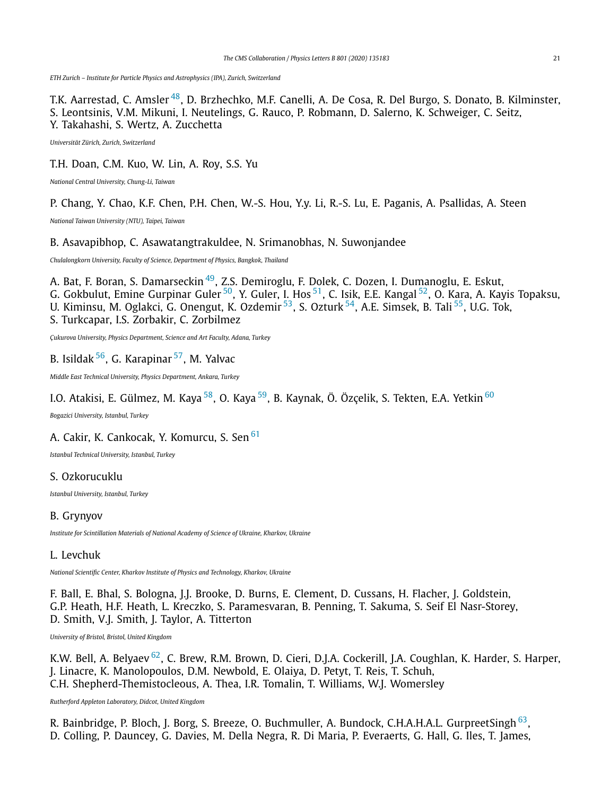*ETH Zurich – Institute for Particle Physics and Astrophysics (IPA), Zurich, Switzerland*

T.K. Aarrestad, C. Amsler<sup>48</sup>, D. Brzhechko, M.F. Canelli, A. De Cosa, R. Del Burgo, S. Donato, B. Kilminster, S. Leontsinis, V.M. Mikuni, I. Neutelings, G. Rauco, P. Robmann, D. Salerno, K. Schweiger, C. Seitz, Y. Takahashi, S. Wertz, A. Zucchetta

*Universität Zürich, Zurich, Switzerland*

T.H. Doan, C.M. Kuo, W. Lin, A. Roy, S.S. Yu

*National Central University, Chung-Li, Taiwan*

### P. Chang, Y. Chao, K.F. Chen, P.H. Chen, W.-S. Hou, Y.y. Li, R.-S. Lu, E. Paganis, A. Psallidas, A. Steen

*National Taiwan University (NTU), Taipei, Taiwan*

#### B. Asavapibhop, C. Asawatangtrakuldee, N. Srimanobhas, N. Suwonjandee

*Chulalongkorn University, Faculty of Science, Department of Physics, Bangkok, Thailand*

A. Bat, F. Boran, S. Damarseckin <sup>49</sup>, Z.S. Demiroglu, F. Dolek, C. Dozen, I. Dumanoglu, E. Eskut, G. Gokbulut, Emine Gurpinar Guler <sup>50</sup>, Y. Guler, I. Hos <sup>51</sup>, C. Isik, E.E. Kangal <sup>52</sup>, O. Kara, A. Kayis Topaksu, U. Kiminsu, M. Oglakci, G. Onengut, K. Ozdemir [53](#page-25-0), S. Ozturk [54,](#page-25-0) A.E. Simsek, B. Tali [55,](#page-25-0) U.G. Tok, S. Turkcapar, I.S. Zorbakir, C. Zorbilmez

*Çukurova University, Physics Department, Science and Art Faculty, Adana, Turkey*

## B. Isildak [56,](#page-25-0) G. Karapinar [57,](#page-25-0) M. Yalvac

*Middle East Technical University, Physics Department, Ankara, Turkey*

## I.O. Atakisi, E. Gülmez, M. Kaya<sup>58</sup>, O. Kaya<sup>59</sup>, B. Kaynak, Ö. Özçelik, S. Tekten, E.A. Yetkin <sup>[60](#page-26-0)</sup>

*Bogazici University, Istanbul, Turkey*

### A. Cakir, K. Cankocak, Y. Komurcu, S. Sen <sup>[61](#page-26-0)</sup>

*Istanbul Technical University, Istanbul, Turkey*

#### S. Ozkorucuklu

*Istanbul University, Istanbul, Turkey*

#### B. Grynyov

*Institute for Scintillation Materials of National Academy of Science of Ukraine, Kharkov, Ukraine*

### L. Levchuk

*National Scientific Center, Kharkov Institute of Physics and Technology, Kharkov, Ukraine*

F. Ball, E. Bhal, S. Bologna, J.J. Brooke, D. Burns, E. Clement, D. Cussans, H. Flacher, J. Goldstein, G.P. Heath, H.F. Heath, L. Kreczko, S. Paramesvaran, B. Penning, T. Sakuma, S. Seif El Nasr-Storey, D. Smith, V.J. Smith, J. Taylor, A. Titterton

*University of Bristol, Bristol, United Kingdom*

K.W. Bell, A. Belyaev [62,](#page-26-0) C. Brew, R.M. Brown, D. Cieri, D.J.A. Cockerill, J.A. Coughlan, K. Harder, S. Harper, J. Linacre, K. Manolopoulos, D.M. Newbold, E. Olaiya, D. Petyt, T. Reis, T. Schuh, C.H. Shepherd-Themistocleous, A. Thea, I.R. Tomalin, T. Williams, W.J. Womersley

*Rutherford Appleton Laboratory, Didcot, United Kingdom*

R. Bainbridge, P. Bloch, J. Borg, S. Breeze, O. Buchmuller, A. Bundock, C.H.A.H.A.L. GurpreetSingh  $^{63}$ , D. Colling, P. Dauncey, G. Davies, M. Della Negra, R. Di Maria, P. Everaerts, G. Hall, G. Iles, T. James,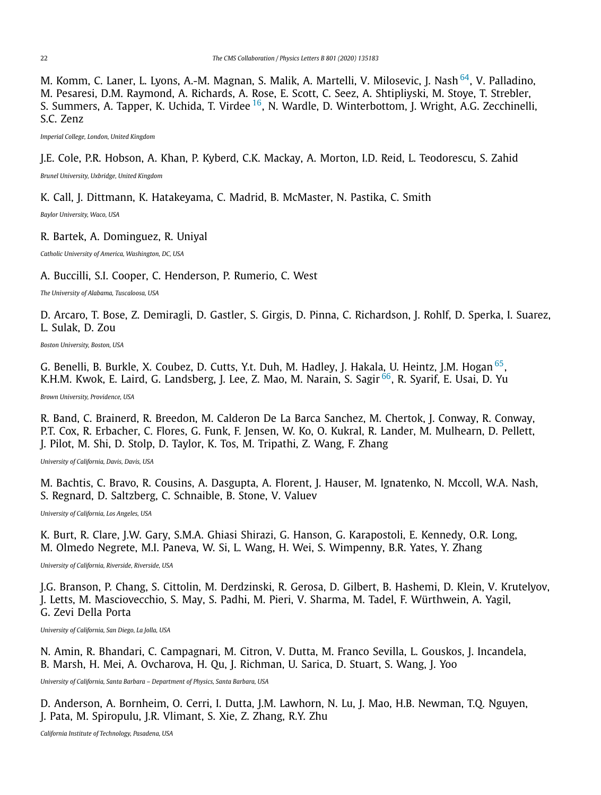M. Komm, C. Laner, L. Lyons, A.-M. Magnan, S. Malik, A. Martelli, V. Milosevic, J. Nash <sup>64</sup>, V. Palladino, M. Pesaresi, D.M. Raymond, A. Richards, A. Rose, E. Scott, C. Seez, A. Shtipliyski, M. Stoye, T. Strebler, S. Summers, A. Tapper, K. Uchida, T. Virdee <sup>16</sup>, N. Wardle, D. Winterbottom, J. Wright, A.G. Zecchinelli, S.C. Zenz

*Imperial College, London, United Kingdom*

## J.E. Cole, P.R. Hobson, A. Khan, P. Kyberd, C.K. Mackay, A. Morton, I.D. Reid, L. Teodorescu, S. Zahid

*Brunel University, Uxbridge, United Kingdom*

#### K. Call, J. Dittmann, K. Hatakeyama, C. Madrid, B. McMaster, N. Pastika, C. Smith

*Baylor University, Waco, USA*

#### R. Bartek, A. Dominguez, R. Uniyal

*Catholic University of America, Washington, DC, USA*

#### A. Buccilli, S.I. Cooper, C. Henderson, P. Rumerio, C. West

*The University of Alabama, Tuscaloosa, USA*

D. Arcaro, T. Bose, Z. Demiragli, D. Gastler, S. Girgis, D. Pinna, C. Richardson, J. Rohlf, D. Sperka, I. Suarez, L. Sulak, D. Zou

*Boston University, Boston, USA*

G. Benelli, B. Burkle, X. Coubez, D. Cutts, Y.t. Duh, M. Hadley, J. Hakala, U. Heintz, J.M. Hogan <sup>65</sup>, K.H.M. Kwok, E. Laird, G. Landsberg, J. Lee, Z. Mao, M. Narain, S. Sagir <sup>66</sup>, R. Syarif, E. Usai, D. Yu

*Brown University, Providence, USA*

R. Band, C. Brainerd, R. Breedon, M. Calderon De La Barca Sanchez, M. Chertok, J. Conway, R. Conway, P.T. Cox, R. Erbacher, C. Flores, G. Funk, F. Jensen, W. Ko, O. Kukral, R. Lander, M. Mulhearn, D. Pellett, J. Pilot, M. Shi, D. Stolp, D. Taylor, K. Tos, M. Tripathi, Z. Wang, F. Zhang

*University of California, Davis, Davis, USA*

M. Bachtis, C. Bravo, R. Cousins, A. Dasgupta, A. Florent, J. Hauser, M. Ignatenko, N. Mccoll, W.A. Nash, S. Regnard, D. Saltzberg, C. Schnaible, B. Stone, V. Valuev

*University of California, Los Angeles, USA*

K. Burt, R. Clare, J.W. Gary, S.M.A. Ghiasi Shirazi, G. Hanson, G. Karapostoli, E. Kennedy, O.R. Long, M. Olmedo Negrete, M.I. Paneva, W. Si, L. Wang, H. Wei, S. Wimpenny, B.R. Yates, Y. Zhang

*University of California, Riverside, Riverside, USA*

J.G. Branson, P. Chang, S. Cittolin, M. Derdzinski, R. Gerosa, D. Gilbert, B. Hashemi, D. Klein, V. Krutelyov, J. Letts, M. Masciovecchio, S. May, S. Padhi, M. Pieri, V. Sharma, M. Tadel, F. Würthwein, A. Yagil, G. Zevi Della Porta

*University of California, San Diego, La Jolla, USA*

N. Amin, R. Bhandari, C. Campagnari, M. Citron, V. Dutta, M. Franco Sevilla, L. Gouskos, J. Incandela, B. Marsh, H. Mei, A. Ovcharova, H. Qu, J. Richman, U. Sarica, D. Stuart, S. Wang, J. Yoo

*University of California, Santa Barbara – Department of Physics, Santa Barbara, USA*

D. Anderson, A. Bornheim, O. Cerri, I. Dutta, J.M. Lawhorn, N. Lu, J. Mao, H.B. Newman, T.Q. Nguyen, J. Pata, M. Spiropulu, J.R. Vlimant, S. Xie, Z. Zhang, R.Y. Zhu

*California Institute of Technology, Pasadena, USA*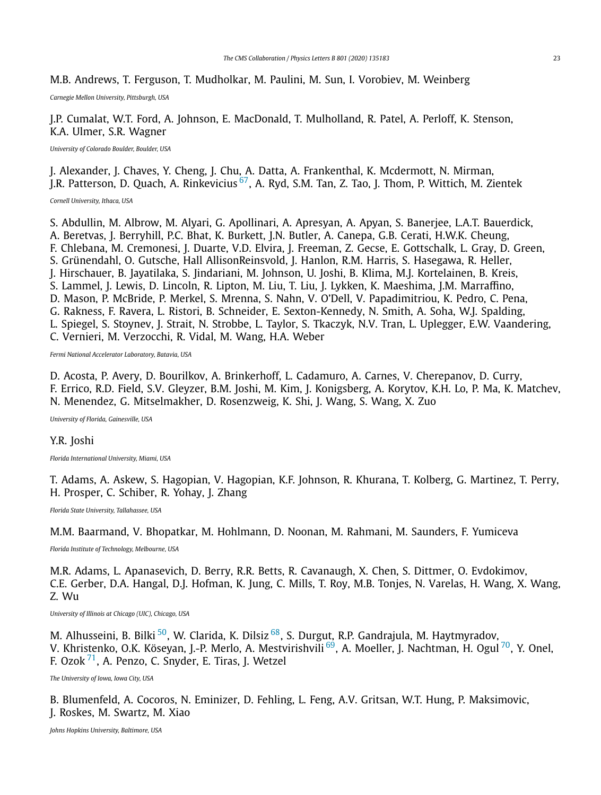## M.B. Andrews, T. Ferguson, T. Mudholkar, M. Paulini, M. Sun, I. Vorobiev, M. Weinberg

*Carnegie Mellon University, Pittsburgh, USA*

J.P. Cumalat, W.T. Ford, A. Johnson, E. MacDonald, T. Mulholland, R. Patel, A. Perloff, K. Stenson, K.A. Ulmer, S.R. Wagner

*University of Colorado Boulder, Boulder, USA*

J. Alexander, J. Chaves, Y. Cheng, J. Chu, A. Datta, A. Frankenthal, K. Mcdermott, N. Mirman, J.R. Patterson, D. Quach, A. Rinkevicius [67,](#page-26-0) A. Ryd, S.M. Tan, Z. Tao, J. Thom, P. Wittich, M. Zientek

*Cornell University, Ithaca, USA*

S. Abdullin, M. Albrow, M. Alyari, G. Apollinari, A. Apresyan, A. Apyan, S. Banerjee, L.A.T. Bauerdick, A. Beretvas, J. Berryhill, P.C. Bhat, K. Burkett, J.N. Butler, A. Canepa, G.B. Cerati, H.W.K. Cheung, F. Chlebana, M. Cremonesi, J. Duarte, V.D. Elvira, J. Freeman, Z. Gecse, E. Gottschalk, L. Gray, D. Green, S. Grünendahl, O. Gutsche, Hall AllisonReinsvold, J. Hanlon, R.M. Harris, S. Hasegawa, R. Heller, J. Hirschauer, B. Jayatilaka, S. Jindariani, M. Johnson, U. Joshi, B. Klima, M.J. Kortelainen, B. Kreis, S. Lammel, J. Lewis, D. Lincoln, R. Lipton, M. Liu, T. Liu, J. Lykken, K. Maeshima, J.M. Marraffino, D. Mason, P. McBride, P. Merkel, S. Mrenna, S. Nahn, V. O'Dell, V. Papadimitriou, K. Pedro, C. Pena, G. Rakness, F. Ravera, L. Ristori, B. Schneider, E. Sexton-Kennedy, N. Smith, A. Soha, W.J. Spalding, L. Spiegel, S. Stoynev, J. Strait, N. Strobbe, L. Taylor, S. Tkaczyk, N.V. Tran, L. Uplegger, E.W. Vaandering, C. Vernieri, M. Verzocchi, R. Vidal, M. Wang, H.A. Weber

*Fermi National Accelerator Laboratory, Batavia, USA*

D. Acosta, P. Avery, D. Bourilkov, A. Brinkerhoff, L. Cadamuro, A. Carnes, V. Cherepanov, D. Curry, F. Errico, R.D. Field, S.V. Gleyzer, B.M. Joshi, M. Kim, J. Konigsberg, A. Korytov, K.H. Lo, P. Ma, K. Matchev, N. Menendez, G. Mitselmakher, D. Rosenzweig, K. Shi, J. Wang, S. Wang, X. Zuo

*University of Florida, Gainesville, USA*

#### Y.R. Joshi

*Florida International University, Miami, USA*

T. Adams, A. Askew, S. Hagopian, V. Hagopian, K.F. Johnson, R. Khurana, T. Kolberg, G. Martinez, T. Perry, H. Prosper, C. Schiber, R. Yohay, J. Zhang

*Florida State University, Tallahassee, USA*

M.M. Baarmand, V. Bhopatkar, M. Hohlmann, D. Noonan, M. Rahmani, M. Saunders, F. Yumiceva

*Florida Institute of Technology, Melbourne, USA*

M.R. Adams, L. Apanasevich, D. Berry, R.R. Betts, R. Cavanaugh, X. Chen, S. Dittmer, O. Evdokimov, C.E. Gerber, D.A. Hangal, D.J. Hofman, K. Jung, C. Mills, T. Roy, M.B. Tonjes, N. Varelas, H. Wang, X. Wang, Z. Wu

*University of Illinois at Chicago (UIC), Chicago, USA*

M. Alhusseini, B. Bilki<sup>50</sup>, W. Clarida, K. Dilsiz<sup>68</sup>, S. Durgut, R.P. Gandrajula, M. Haytmyradov, V. Khristenko, O.K. Köseyan, J.-P. Merlo, A. Mestvirishvili [69,](#page-26-0) A. Moeller, J. Nachtman, H. Ogul [70,](#page-26-0) Y. Onel, F. Ozok $^{71}$  $^{71}$  $^{71}$ , A. Penzo, C. Snyder, E. Tiras, J. Wetzel

*The University of Iowa, Iowa City, USA*

B. Blumenfeld, A. Cocoros, N. Eminizer, D. Fehling, L. Feng, A.V. Gritsan, W.T. Hung, P. Maksimovic, J. Roskes, M. Swartz, M. Xiao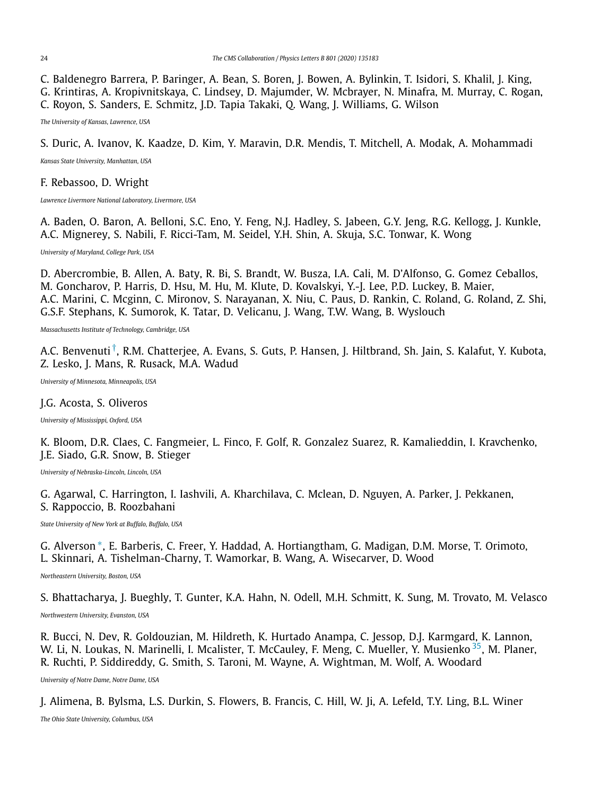C. Baldenegro Barrera, P. Baringer, A. Bean, S. Boren, J. Bowen, A. Bylinkin, T. Isidori, S. Khalil, J. King, G. Krintiras, A. Kropivnitskaya, C. Lindsey, D. Majumder, W. Mcbrayer, N. Minafra, M. Murray, C. Rogan, C. Royon, S. Sanders, E. Schmitz, J.D. Tapia Takaki, Q. Wang, J. Williams, G. Wilson

*The University of Kansas, Lawrence, USA*

S. Duric, A. Ivanov, K. Kaadze, D. Kim, Y. Maravin, D.R. Mendis, T. Mitchell, A. Modak, A. Mohammadi

*Kansas State University, Manhattan, USA*

#### F. Rebassoo, D. Wright

*Lawrence Livermore National Laboratory, Livermore, USA*

A. Baden, O. Baron, A. Belloni, S.C. Eno, Y. Feng, N.J. Hadley, S. Jabeen, G.Y. Jeng, R.G. Kellogg, J. Kunkle, A.C. Mignerey, S. Nabili, F. Ricci-Tam, M. Seidel, Y.H. Shin, A. Skuja, S.C. Tonwar, K. Wong

*University of Maryland, College Park, USA*

D. Abercrombie, B. Allen, A. Baty, R. Bi, S. Brandt, W. Busza, I.A. Cali, M. D'Alfonso, G. Gomez Ceballos, M. Goncharov, P. Harris, D. Hsu, M. Hu, M. Klute, D. Kovalskyi, Y.-J. Lee, P.D. Luckey, B. Maier, A.C. Marini, C. Mcginn, C. Mironov, S. Narayanan, X. Niu, C. Paus, D. Rankin, C. Roland, G. Roland, Z. Shi, G.S.F. Stephans, K. Sumorok, K. Tatar, D. Velicanu, J. Wang, T.W. Wang, B. Wyslouch

*Massachusetts Institute of Technology, Cambridge, USA*

A.C. Benvenuti [†,](#page-25-0) R.M. Chatterjee, A. Evans, S. Guts, P. Hansen, J. Hiltbrand, Sh. Jain, S. Kalafut, Y. Kubota, Z. Lesko, J. Mans, R. Rusack, M.A. Wadud

*University of Minnesota, Minneapolis, USA*

#### J.G. Acosta, S. Oliveros

*University of Mississippi, Oxford, USA*

K. Bloom, D.R. Claes, C. Fangmeier, L. Finco, F. Golf, R. Gonzalez Suarez, R. Kamalieddin, I. Kravchenko, J.E. Siado, G.R. Snow, B. Stieger

*University of Nebraska-Lincoln, Lincoln, USA*

G. Agarwal, C. Harrington, I. Iashvili, A. Kharchilava, C. Mclean, D. Nguyen, A. Parker, J. Pekkanen, S. Rappoccio, B. Roozbahani

*State University of New York at Buffalo, Buffalo, USA*

G. Alverson [∗](#page-25-0), E. Barberis, C. Freer, Y. Haddad, A. Hortiangtham, G. Madigan, D.M. Morse, T. Orimoto, L. Skinnari, A. Tishelman-Charny, T. Wamorkar, B. Wang, A. Wisecarver, D. Wood

*Northeastern University, Boston, USA*

S. Bhattacharya, J. Bueghly, T. Gunter, K.A. Hahn, N. Odell, M.H. Schmitt, K. Sung, M. Trovato, M. Velasco *Northwestern University, Evanston, USA*

R. Bucci, N. Dev, R. Goldouzian, M. Hildreth, K. Hurtado Anampa, C. Jessop, D.J. Karmgard, K. Lannon, W. Li, N. Loukas, N. Marinelli, I. Mcalister, T. McCauley, F. Meng, C. Mueller, Y. Musienko [35,](#page-25-0) M. Planer, R. Ruchti, P. Siddireddy, G. Smith, S. Taroni, M. Wayne, A. Wightman, M. Wolf, A. Woodard

*University of Notre Dame, Notre Dame, USA*

J. Alimena, B. Bylsma, L.S. Durkin, S. Flowers, B. Francis, C. Hill, W. Ji, A. Lefeld, T.Y. Ling, B.L. Winer

*The Ohio State University, Columbus, USA*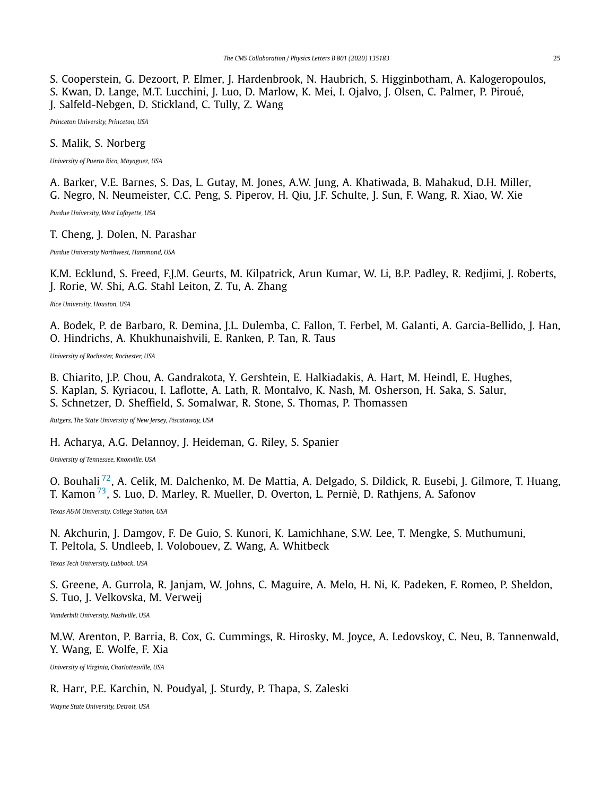S. Cooperstein, G. Dezoort, P. Elmer, J. Hardenbrook, N. Haubrich, S. Higginbotham, A. Kalogeropoulos, S. Kwan, D. Lange, M.T. Lucchini, J. Luo, D. Marlow, K. Mei, I. Ojalvo, J. Olsen, C. Palmer, P. Piroué, J. Salfeld-Nebgen, D. Stickland, C. Tully, Z. Wang

*Princeton University, Princeton, USA*

#### S. Malik, S. Norberg

*University of Puerto Rico, Mayaguez, USA*

A. Barker, V.E. Barnes, S. Das, L. Gutay, M. Jones, A.W. Jung, A. Khatiwada, B. Mahakud, D.H. Miller, G. Negro, N. Neumeister, C.C. Peng, S. Piperov, H. Qiu, J.F. Schulte, J. Sun, F. Wang, R. Xiao, W. Xie

*Purdue University, West Lafayette, USA*

#### T. Cheng, J. Dolen, N. Parashar

*Purdue University Northwest, Hammond, USA*

K.M. Ecklund, S. Freed, F.J.M. Geurts, M. Kilpatrick, Arun Kumar, W. Li, B.P. Padley, R. Redjimi, J. Roberts, J. Rorie, W. Shi, A.G. Stahl Leiton, Z. Tu, A. Zhang

*Rice University, Houston, USA*

A. Bodek, P. de Barbaro, R. Demina, J.L. Dulemba, C. Fallon, T. Ferbel, M. Galanti, A. Garcia-Bellido, J. Han, O. Hindrichs, A. Khukhunaishvili, E. Ranken, P. Tan, R. Taus

*University of Rochester, Rochester, USA*

B. Chiarito, J.P. Chou, A. Gandrakota, Y. Gershtein, E. Halkiadakis, A. Hart, M. Heindl, E. Hughes, S. Kaplan, S. Kyriacou, I. Laflotte, A. Lath, R. Montalvo, K. Nash, M. Osherson, H. Saka, S. Salur, S. Schnetzer, D. Sheffield, S. Somalwar, R. Stone, S. Thomas, P. Thomassen

*Rutgers, The State University of New Jersey, Piscataway, USA*

H. Acharya, A.G. Delannoy, J. Heideman, G. Riley, S. Spanier

*University of Tennessee, Knoxville, USA*

O. Bouhali [72,](#page-26-0) A. Celik, M. Dalchenko, M. De Mattia, A. Delgado, S. Dildick, R. Eusebi, J. Gilmore, T. Huang, T. Kamon  $^{73}$ , S. Luo, D. Marley, R. Mueller, D. Overton, L. Perniè, D. Rathjens, A. Safonov

*Texas A&M University, College Station, USA*

N. Akchurin, J. Damgov, F. De Guio, S. Kunori, K. Lamichhane, S.W. Lee, T. Mengke, S. Muthumuni, T. Peltola, S. Undleeb, I. Volobouev, Z. Wang, A. Whitbeck

*Texas Tech University, Lubbock, USA*

S. Greene, A. Gurrola, R. Janjam, W. Johns, C. Maguire, A. Melo, H. Ni, K. Padeken, F. Romeo, P. Sheldon, S. Tuo, J. Velkovska, M. Verweij

*Vanderbilt University, Nashville, USA*

M.W. Arenton, P. Barria, B. Cox, G. Cummings, R. Hirosky, M. Joyce, A. Ledovskoy, C. Neu, B. Tannenwald, Y. Wang, E. Wolfe, F. Xia

*University of Virginia, Charlottesville, USA*

### R. Harr, P.E. Karchin, N. Poudyal, J. Sturdy, P. Thapa, S. Zaleski

*Wayne State University, Detroit, USA*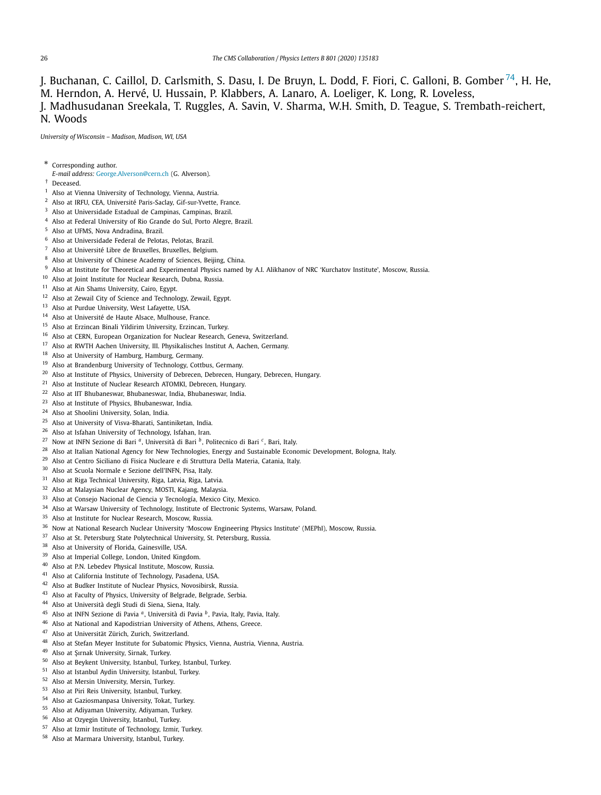<span id="page-25-0"></span>J. Buchanan, C. Caillol, D. Carlsmith, S. Dasu, I. De Bruyn, L. Dodd, F. Fiori, C. Galloni, B. Gomber<sup>74</sup>, H. He, M. Herndon, A. Hervé, U. Hussain, P. Klabbers, A. Lanaro, A. Loeliger, K. Long, R. Loveless,

J. Madhusudanan Sreekala, T. Ruggles, A. Savin, V. Sharma, W.H. Smith, D. Teague, S. Trembath-reichert, N. Woods

*University of Wisconsin – Madison, Madison, WI, USA*

- \* Corresponding author.
- *E-mail address:* [George.Alverson@cern.ch](mailto:George.Alverson@cern.ch) (G. Alverson).
- † Deceased.
- Also at Vienna University of Technology, Vienna, Austria.
- Also at IRFU, CEA, Université Paris-Saclay, Gif-sur-Yvette, France.
- Also at Universidade Estadual de Campinas, Campinas, Brazil.
- Also at Federal University of Rio Grande do Sul, Porto Alegre, Brazil.
- Also at UFMS, Nova Andradina, Brazil.
- Also at Universidade Federal de Pelotas, Pelotas, Brazil.
- Also at Université Libre de Bruxelles, Bruxelles, Belgium.
- Also at University of Chinese Academy of Sciences, Beijing, China.
- <sup>9</sup> Also at Institute for Theoretical and Experimental Physics named by A.I. Alikhanov of NRC 'Kurchatov Institute', Moscow, Russia.
- Also at Joint Institute for Nuclear Research, Dubna, Russia.
- Also at Ain Shams University, Cairo, Egypt.
- Also at Zewail City of Science and Technology, Zewail, Egypt.
- Also at Purdue University, West Lafayette, USA.
- Also at Université de Haute Alsace, Mulhouse, France.
- Also at Erzincan Binali Yildirim University, Erzincan, Turkey.
- Also at CERN, European Organization for Nuclear Research, Geneva, Switzerland.
- Also at RWTH Aachen University, III. Physikalisches Institut A, Aachen, Germany.
- Also at University of Hamburg, Hamburg, Germany.
- Also at Brandenburg University of Technology, Cottbus, Germany.
- <sup>20</sup> Also at Institute of Physics, University of Debrecen, Debrecen, Hungary, Debrecen, Hungary.
- Also at Institute of Nuclear Research ATOMKI, Debrecen, Hungary.
- Also at IIT Bhubaneswar, Bhubaneswar, India, Bhubaneswar, India.
- Also at Institute of Physics, Bhubaneswar, India.
- Also at Shoolini University, Solan, India.
- Also at University of Visva-Bharati, Santiniketan, India.
- Also at Isfahan University of Technology, Isfahan, Iran.
- Now at INFN Sezione di Bari *<sup>a</sup>*, Università di Bari *<sup>b</sup>* , Politecnico di Bari *<sup>c</sup>* , Bari, Italy.
- <sup>28</sup> Also at Italian National Agency for New Technologies, Energy and Sustainable Economic Development, Bologna, Italy.
- Also at Centro Siciliano di Fisica Nucleare e di Struttura Della Materia, Catania, Italy.
- Also at Scuola Normale e Sezione dell'INFN, Pisa, Italy.
- Also at Riga Technical University, Riga, Latvia, Riga, Latvia.
- Also at Malaysian Nuclear Agency, MOSTI, Kajang, Malaysia.
- Also at Consejo Nacional de Ciencia y Tecnología, Mexico City, Mexico.
- <sup>34</sup> Also at Warsaw University of Technology, Institute of Electronic Systems, Warsaw, Poland.
- Also at Institute for Nuclear Research, Moscow, Russia.
- Now at National Research Nuclear University 'Moscow Engineering Physics Institute' (MEPhI), Moscow, Russia.
- Also at St. Petersburg State Polytechnical University, St. Petersburg, Russia.
- Also at University of Florida, Gainesville, USA.
- Also at Imperial College, London, United Kingdom.
- Also at P.N. Lebedev Physical Institute, Moscow, Russia.
- Also at California Institute of Technology, Pasadena, USA.
- Also at Budker Institute of Nuclear Physics, Novosibirsk, Russia.
- Also at Faculty of Physics, University of Belgrade, Belgrade, Serbia.
- Also at Università degli Studi di Siena, Siena, Italy.
- Also at INFN Sezione di Pavia *<sup>a</sup>*, Università di Pavia *<sup>b</sup>* , Pavia, Italy, Pavia, Italy.
- Also at National and Kapodistrian University of Athens, Athens, Greece.
- Also at Universität Zürich, Zurich, Switzerland.
- Also at Stefan Meyer Institute for Subatomic Physics, Vienna, Austria, Vienna, Austria.
- 49 Also at Şırnak University, Sirnak, Turkey.
- Also at Beykent University, Istanbul, Turkey, Istanbul, Turkey.
- Also at Istanbul Aydin University, Istanbul, Turkey.
- Also at Mersin University, Mersin, Turkey.
- Also at Piri Reis University, Istanbul, Turkey.
- Also at Gaziosmanpasa University, Tokat, Turkey.
- Also at Adiyaman University, Adiyaman, Turkey.
- Also at Ozyegin University, Istanbul, Turkey.
- Also at Izmir Institute of Technology, Izmir, Turkey.
- Also at Marmara University, Istanbul, Turkey.